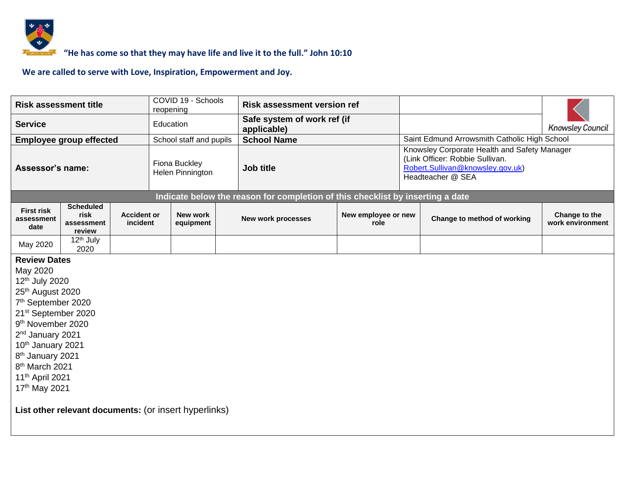

# *<b>ECORGERABBER 4* "He has come so that they may have life and live it to the full." John 10:10

| <b>Risk assessment title</b>                                                                                                                                                                                                                                                                                                                                           |                                                       |                                | reopening                         | COVID 19 - Schools      | <b>Risk assessment version ref</b>                                             |                             |                                              |                                                                                                                                          |                                   |  |  |
|------------------------------------------------------------------------------------------------------------------------------------------------------------------------------------------------------------------------------------------------------------------------------------------------------------------------------------------------------------------------|-------------------------------------------------------|--------------------------------|-----------------------------------|-------------------------|--------------------------------------------------------------------------------|-----------------------------|----------------------------------------------|------------------------------------------------------------------------------------------------------------------------------------------|-----------------------------------|--|--|
| <b>Service</b>                                                                                                                                                                                                                                                                                                                                                         |                                                       |                                |                                   | Education               | Safe system of work ref (if<br>applicable)                                     |                             |                                              |                                                                                                                                          | <b>Knowsley Council</b>           |  |  |
|                                                                                                                                                                                                                                                                                                                                                                        | <b>Employee group effected</b>                        |                                |                                   | School staff and pupils | <b>School Name</b>                                                             |                             | Saint Edmund Arrowsmith Catholic High School |                                                                                                                                          |                                   |  |  |
| Assessor's name:                                                                                                                                                                                                                                                                                                                                                       |                                                       |                                | Fiona Buckley<br>Helen Pinnington |                         | Job title                                                                      |                             |                                              | Knowsley Corporate Health and Safety Manager<br>(Link Officer: Robbie Sullivan.<br>Robert.Sullivan@knowsley.gov.uk)<br>Headteacher @ SEA |                                   |  |  |
|                                                                                                                                                                                                                                                                                                                                                                        |                                                       |                                |                                   |                         | Indicate below the reason for completion of this checklist by inserting a date |                             |                                              |                                                                                                                                          |                                   |  |  |
| <b>First risk</b><br>assessment<br>date                                                                                                                                                                                                                                                                                                                                | <b>Scheduled</b><br>risk<br>assessment<br>review      | <b>Accident or</b><br>incident |                                   | New work<br>equipment   | <b>New work processes</b>                                                      | New employee or new<br>role |                                              | Change to method of working                                                                                                              | Change to the<br>work environment |  |  |
| May 2020                                                                                                                                                                                                                                                                                                                                                               | 12 <sup>th</sup> July<br>2020                         |                                |                                   |                         |                                                                                |                             |                                              |                                                                                                                                          |                                   |  |  |
| <b>Review Dates</b><br>May 2020<br>12 <sup>th</sup> July 2020<br>25 <sup>th</sup> August 2020<br>7 <sup>th</sup> September 2020<br>21 <sup>st</sup> September 2020<br>9 <sup>th</sup> November 2020<br>2 <sup>nd</sup> January 2021<br>10th January 2021<br>8 <sup>th</sup> January 2021<br>8 <sup>th</sup> March 2021<br>11 <sup>th</sup> April 2021<br>17th May 2021 |                                                       |                                |                                   |                         |                                                                                |                             |                                              |                                                                                                                                          |                                   |  |  |
|                                                                                                                                                                                                                                                                                                                                                                        | List other relevant documents: (or insert hyperlinks) |                                |                                   |                         |                                                                                |                             |                                              |                                                                                                                                          |                                   |  |  |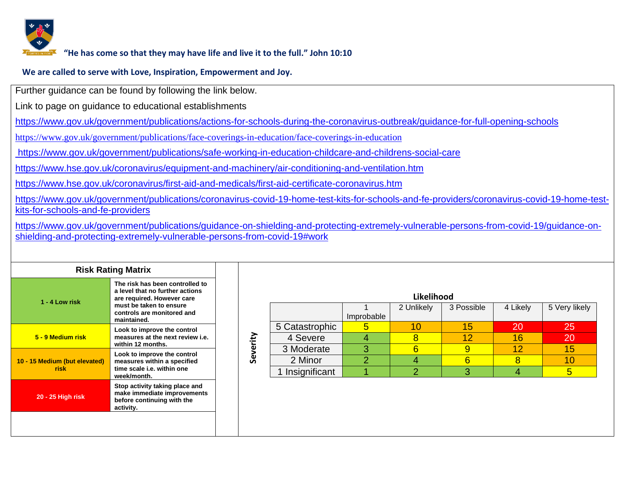

#### **"He has come so that they may have life and live it to the full." John 10:10**

#### **We are called to serve with Love, Inspiration, Empowerment and Joy.**

Further guidance can be found by following the link below.

Link to page on guidance to educational establishments

<https://www.gov.uk/government/publications/actions-for-schools-during-the-coronavirus-outbreak/guidance-for-full-opening-schools>

<https://www.gov.uk/government/publications/face-coverings-in-education/face-coverings-in-education>

<https://www.gov.uk/government/publications/safe-working-in-education-childcare-and-childrens-social-care>

<https://www.hse.gov.uk/coronavirus/equipment-and-machinery/air-conditioning-and-ventilation.htm>

https://www.hse.gov.uk/coronavirus/first-aid-and-medicals/first-aid-certificate-coronavirus.htm

https://www.gov.uk/government/publications/coronavirus-covid-19-home-test-kits-for-schools-and-fe-providers/coronavirus-covid-19-home-testkits-for-schools-and-fe-providers

[https://www.gov.uk/government/publications/guidance-on-shielding-and-protecting-extremely-vulnerable-persons-from-covid-19/guidance-on](https://www.gov.uk/government/publications/guidance-on-shielding-and-protecting-extremely-vulnerable-persons-from-covid-19/guidance-on-shielding-and-protecting-extremely-vulnerable-persons-from-covid-19#work)[shielding-and-protecting-extremely-vulnerable-persons-from-covid-19#work](https://www.gov.uk/government/publications/guidance-on-shielding-and-protecting-extremely-vulnerable-persons-from-covid-19/guidance-on-shielding-and-protecting-extremely-vulnerable-persons-from-covid-19#work)

| <b>Risk Rating Matrix</b>             |                                                                                                                                                                          |  |  |  |  |  |  |  |
|---------------------------------------|--------------------------------------------------------------------------------------------------------------------------------------------------------------------------|--|--|--|--|--|--|--|
| 1 - 4 Low risk                        | The risk has been controlled to<br>a level that no further actions<br>are required. However care<br>must be taken to ensure<br>controls are monitored and<br>maintained. |  |  |  |  |  |  |  |
| 5 - 9 Medium risk                     | Look to improve the control<br>measures at the next review i.e.<br>within 12 months.                                                                                     |  |  |  |  |  |  |  |
| 10 - 15 Medium (but elevated)<br>risk | Look to improve the control<br>measures within a specified<br>time scale i.e. within one<br>week/month.                                                                  |  |  |  |  |  |  |  |
| 20 - 25 High risk                     | Stop activity taking place and<br>make immediate improvements<br>before continuing with the<br>activity.                                                                 |  |  |  |  |  |  |  |
|                                       |                                                                                                                                                                          |  |  |  |  |  |  |  |

|          |                 |            | Likelihood |            |          |               |
|----------|-----------------|------------|------------|------------|----------|---------------|
|          |                 |            | 2 Unlikely | 3 Possible | 4 Likely | 5 Very likely |
|          |                 | Improbable |            |            |          |               |
|          | 5 Catastrophic  | 5          |            | 15         | 20       | 25            |
|          | 4 Severe        |            |            | 12         | 16       | 20            |
| Severity | 3 Moderate      | 3          |            |            |          | 15            |
|          | 2 Minor         |            |            | 6          |          | 10            |
|          | 1 Insignificant |            |            |            |          | 5             |
|          |                 |            |            |            |          |               |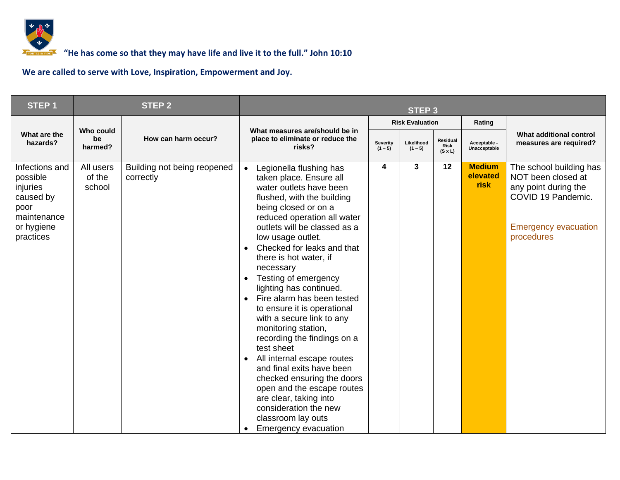

### *CORGERADD* "He has come so that they may have life and live it to the full." John 10:10

| STEP <sub>1</sub>                                                                                     |                               | <b>STEP 2</b>                            | STEP <sub>3</sub>                                                                                                                                                                                                                                                                                                                                                                                                                                                                                                                                                                                                                                                                                                                                                                                                          |                       |                         |                                           |                                          |                                                                                                                                          |  |
|-------------------------------------------------------------------------------------------------------|-------------------------------|------------------------------------------|----------------------------------------------------------------------------------------------------------------------------------------------------------------------------------------------------------------------------------------------------------------------------------------------------------------------------------------------------------------------------------------------------------------------------------------------------------------------------------------------------------------------------------------------------------------------------------------------------------------------------------------------------------------------------------------------------------------------------------------------------------------------------------------------------------------------------|-----------------------|-------------------------|-------------------------------------------|------------------------------------------|------------------------------------------------------------------------------------------------------------------------------------------|--|
|                                                                                                       |                               |                                          |                                                                                                                                                                                                                                                                                                                                                                                                                                                                                                                                                                                                                                                                                                                                                                                                                            |                       | <b>Risk Evaluation</b>  |                                           | Rating                                   |                                                                                                                                          |  |
| What are the<br>hazards?                                                                              | Who could<br>be<br>harmed?    | How can harm occur?                      | What measures are/should be in<br>place to eliminate or reduce the<br>risks?                                                                                                                                                                                                                                                                                                                                                                                                                                                                                                                                                                                                                                                                                                                                               | Severity<br>$(1 - 5)$ | Likelihood<br>$(1 - 5)$ | Residual<br><b>Risk</b><br>$(S \times L)$ | Acceptable -<br>Unacceptable             | What additional control<br>measures are required?                                                                                        |  |
| Infections and<br>possible<br>injuries<br>caused by<br>poor<br>maintenance<br>or hygiene<br>practices | All users<br>of the<br>school | Building not being reopened<br>correctly | Legionella flushing has<br>$\bullet$<br>taken place. Ensure all<br>water outlets have been<br>flushed, with the building<br>being closed or on a<br>reduced operation all water<br>outlets will be classed as a<br>low usage outlet.<br>Checked for leaks and that<br>$\bullet$<br>there is hot water, if<br>necessary<br>Testing of emergency<br>$\bullet$<br>lighting has continued.<br>Fire alarm has been tested<br>$\bullet$<br>to ensure it is operational<br>with a secure link to any<br>monitoring station,<br>recording the findings on a<br>test sheet<br>All internal escape routes<br>$\bullet$<br>and final exits have been<br>checked ensuring the doors<br>open and the escape routes<br>are clear, taking into<br>consideration the new<br>classroom lay outs<br><b>Emergency evacuation</b><br>$\bullet$ | 4                     | 3                       | 12                                        | <b>Medium</b><br>elevated<br><b>risk</b> | The school building has<br>NOT been closed at<br>any point during the<br>COVID 19 Pandemic.<br><b>Emergency evacuation</b><br>procedures |  |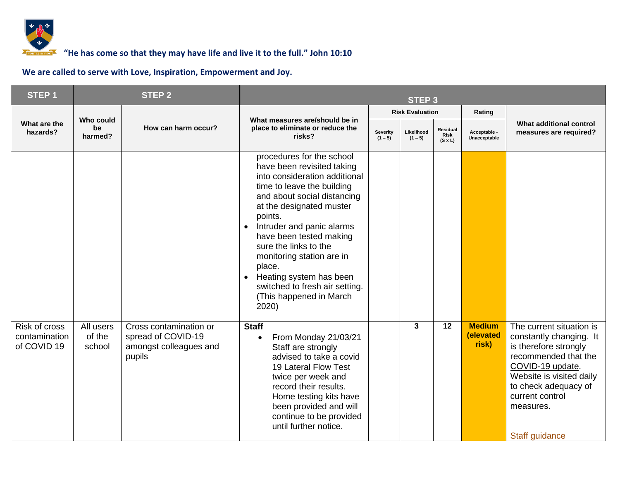

| <b>STEP1</b>                                  |                               | <b>STEP 2</b>                                                                    |                                                                                                                                                                                                                                                                                                                                                                                                                                                 | <b>STEP3</b>          |                         |                                           |                                     |                                                                                                                                                                                                                                |  |
|-----------------------------------------------|-------------------------------|----------------------------------------------------------------------------------|-------------------------------------------------------------------------------------------------------------------------------------------------------------------------------------------------------------------------------------------------------------------------------------------------------------------------------------------------------------------------------------------------------------------------------------------------|-----------------------|-------------------------|-------------------------------------------|-------------------------------------|--------------------------------------------------------------------------------------------------------------------------------------------------------------------------------------------------------------------------------|--|
|                                               |                               |                                                                                  |                                                                                                                                                                                                                                                                                                                                                                                                                                                 |                       | <b>Risk Evaluation</b>  |                                           | Rating                              |                                                                                                                                                                                                                                |  |
| What are the<br>hazards?                      | Who could<br>be<br>harmed?    | How can harm occur?                                                              | What measures are/should be in<br>place to eliminate or reduce the<br>risks?                                                                                                                                                                                                                                                                                                                                                                    | Severity<br>$(1 - 5)$ | Likelihood<br>$(1 - 5)$ | Residual<br><b>Risk</b><br>$(S \times L)$ | Acceptable -<br>Unacceptable        | What additional control<br>measures are required?                                                                                                                                                                              |  |
|                                               |                               |                                                                                  | procedures for the school<br>have been revisited taking<br>into consideration additional<br>time to leave the building<br>and about social distancing<br>at the designated muster<br>points.<br>Intruder and panic alarms<br>$\bullet$<br>have been tested making<br>sure the links to the<br>monitoring station are in<br>place.<br>Heating system has been<br>$\bullet$<br>switched to fresh air setting.<br>(This happened in March<br>2020) |                       |                         |                                           |                                     |                                                                                                                                                                                                                                |  |
| Risk of cross<br>contamination<br>of COVID 19 | All users<br>of the<br>school | Cross contamination or<br>spread of COVID-19<br>amongst colleagues and<br>pupils | <b>Staff</b><br>From Monday 21/03/21<br>$\bullet$<br>Staff are strongly<br>advised to take a covid<br>19 Lateral Flow Test<br>twice per week and<br>record their results.<br>Home testing kits have<br>been provided and will<br>continue to be provided<br>until further notice.                                                                                                                                                               |                       | $\mathbf{3}$            | $\overline{12}$                           | <b>Medium</b><br>(elevated<br>risk) | The current situation is<br>constantly changing. It<br>is therefore strongly<br>recommended that the<br>COVID-19 update.<br>Website is visited daily<br>to check adequacy of<br>current control<br>measures.<br>Staff guidance |  |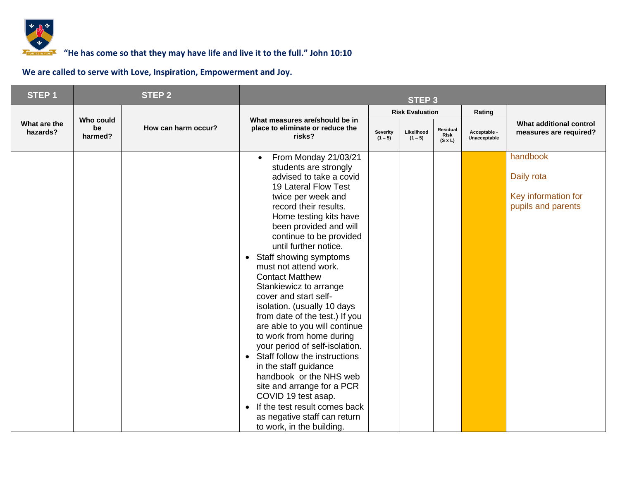

### *<b>F* **6000 TOM** <sup>7</sup> **10000 TOM 10:10 10:10 10:10 10:10 10:10 10:10 10:10 10:10 10:10 10:10 10:10 10:10 10:10 10:10 10:10 10:10 10:10 10:10 10:10 10:10 10:10 10:10 10:10 10:**

| STEP <sub>1</sub>        |                            | <b>STEP 2</b>       | STEP <sub>3</sub>                                                                                                                                                                                                                                                                                                                                                                                                                                                                                                                                                                                                                                                                                                                                                                                                                                   |                              |                         |                                    |                              |                                                                     |  |
|--------------------------|----------------------------|---------------------|-----------------------------------------------------------------------------------------------------------------------------------------------------------------------------------------------------------------------------------------------------------------------------------------------------------------------------------------------------------------------------------------------------------------------------------------------------------------------------------------------------------------------------------------------------------------------------------------------------------------------------------------------------------------------------------------------------------------------------------------------------------------------------------------------------------------------------------------------------|------------------------------|-------------------------|------------------------------------|------------------------------|---------------------------------------------------------------------|--|
|                          |                            |                     |                                                                                                                                                                                                                                                                                                                                                                                                                                                                                                                                                                                                                                                                                                                                                                                                                                                     |                              | <b>Risk Evaluation</b>  |                                    | Rating                       |                                                                     |  |
| What are the<br>hazards? | Who could<br>be<br>harmed? | How can harm occur? | What measures are/should be in<br>place to eliminate or reduce the<br>risks?                                                                                                                                                                                                                                                                                                                                                                                                                                                                                                                                                                                                                                                                                                                                                                        | <b>Severity</b><br>$(1 - 5)$ | Likelihood<br>$(1 - 5)$ | Residual<br>Risk<br>$(S \times L)$ | Acceptable -<br>Unacceptable | What additional control<br>measures are required?                   |  |
|                          |                            |                     | From Monday 21/03/21<br>$\bullet$<br>students are strongly<br>advised to take a covid<br>19 Lateral Flow Test<br>twice per week and<br>record their results.<br>Home testing kits have<br>been provided and will<br>continue to be provided<br>until further notice.<br>Staff showing symptoms<br>$\bullet$<br>must not attend work.<br><b>Contact Matthew</b><br>Stankiewicz to arrange<br>cover and start self-<br>isolation. (usually 10 days<br>from date of the test.) If you<br>are able to you will continue<br>to work from home during<br>your period of self-isolation.<br>Staff follow the instructions<br>$\bullet$<br>in the staff guidance<br>handbook or the NHS web<br>site and arrange for a PCR<br>COVID 19 test asap.<br>If the test result comes back<br>$\bullet$<br>as negative staff can return<br>to work, in the building. |                              |                         |                                    |                              | handbook<br>Daily rota<br>Key information for<br>pupils and parents |  |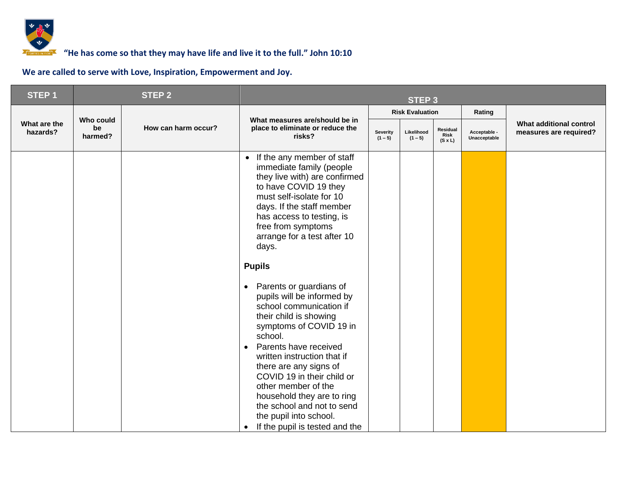

| STEP <sub>1</sub>        |                            | <b>STEP 2</b>       | <b>STEP 3</b>                                                                                                                                                                                                                                                                                                                                                                                                                                                                                                                                                                                                                                                                                                                                                |                       |                         |                                    |                              |                                                   |
|--------------------------|----------------------------|---------------------|--------------------------------------------------------------------------------------------------------------------------------------------------------------------------------------------------------------------------------------------------------------------------------------------------------------------------------------------------------------------------------------------------------------------------------------------------------------------------------------------------------------------------------------------------------------------------------------------------------------------------------------------------------------------------------------------------------------------------------------------------------------|-----------------------|-------------------------|------------------------------------|------------------------------|---------------------------------------------------|
|                          |                            |                     |                                                                                                                                                                                                                                                                                                                                                                                                                                                                                                                                                                                                                                                                                                                                                              |                       | <b>Risk Evaluation</b>  |                                    | Rating                       |                                                   |
| What are the<br>hazards? | Who could<br>be<br>harmed? | How can harm occur? | What measures are/should be in<br>place to eliminate or reduce the<br>risks?                                                                                                                                                                                                                                                                                                                                                                                                                                                                                                                                                                                                                                                                                 | Severity<br>$(1 - 5)$ | Likelihood<br>$(1 - 5)$ | Residual<br>Risk<br>$(S \times L)$ | Acceptable -<br>Unacceptable | What additional control<br>measures are required? |
|                          |                            |                     | If the any member of staff<br>$\bullet$<br>immediate family (people<br>they live with) are confirmed<br>to have COVID 19 they<br>must self-isolate for 10<br>days. If the staff member<br>has access to testing, is<br>free from symptoms<br>arrange for a test after 10<br>days.<br><b>Pupils</b><br>Parents or guardians of<br>$\bullet$<br>pupils will be informed by<br>school communication if<br>their child is showing<br>symptoms of COVID 19 in<br>school.<br>Parents have received<br>$\bullet$<br>written instruction that if<br>there are any signs of<br>COVID 19 in their child or<br>other member of the<br>household they are to ring<br>the school and not to send<br>the pupil into school.<br>If the pupil is tested and the<br>$\bullet$ |                       |                         |                                    |                              |                                                   |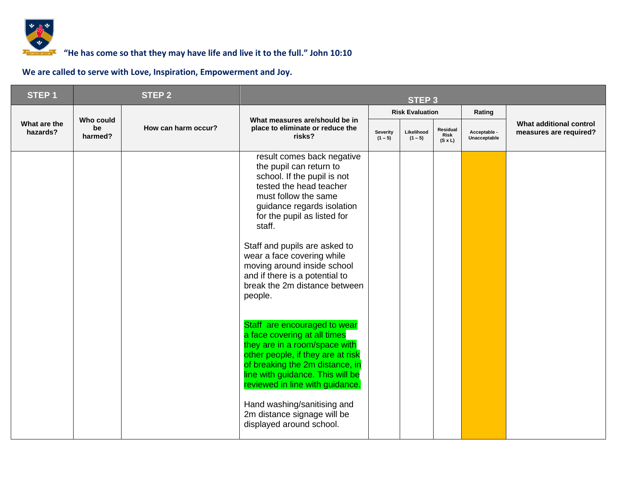

| STEP <sub>1</sub>        | <b>STEP 2</b>              |                     | <b>STEP 3</b>                                                                                                                                                                                                                                                                                                                                                                                                              |                       |                         |                                           |                              |                                                   |
|--------------------------|----------------------------|---------------------|----------------------------------------------------------------------------------------------------------------------------------------------------------------------------------------------------------------------------------------------------------------------------------------------------------------------------------------------------------------------------------------------------------------------------|-----------------------|-------------------------|-------------------------------------------|------------------------------|---------------------------------------------------|
|                          |                            |                     |                                                                                                                                                                                                                                                                                                                                                                                                                            |                       | <b>Risk Evaluation</b>  |                                           | Rating                       |                                                   |
| What are the<br>hazards? | Who could<br>be<br>harmed? | How can harm occur? | What measures are/should be in<br>place to eliminate or reduce the<br>risks?                                                                                                                                                                                                                                                                                                                                               | Severity<br>$(1 - 5)$ | Likelihood<br>$(1 - 5)$ | Residual<br><b>Risk</b><br>$(S \times L)$ | Acceptable -<br>Unacceptable | What additional control<br>measures are required? |
|                          |                            |                     | result comes back negative<br>the pupil can return to<br>school. If the pupil is not<br>tested the head teacher<br>must follow the same<br>guidance regards isolation<br>for the pupil as listed for<br>staff.<br>Staff and pupils are asked to<br>wear a face covering while<br>moving around inside school<br>and if there is a potential to<br>break the 2m distance between<br>people.<br>Staff are encouraged to wear |                       |                         |                                           |                              |                                                   |
|                          |                            |                     | a face covering at all times<br>they are in a room/space with<br>other people, if they are at risk<br>of breaking the 2m distance, in<br>line with guidance. This will be<br>reviewed in line with guidance.<br>Hand washing/sanitising and<br>2m distance signage will be                                                                                                                                                 |                       |                         |                                           |                              |                                                   |
|                          |                            |                     | displayed around school.                                                                                                                                                                                                                                                                                                                                                                                                   |                       |                         |                                           |                              |                                                   |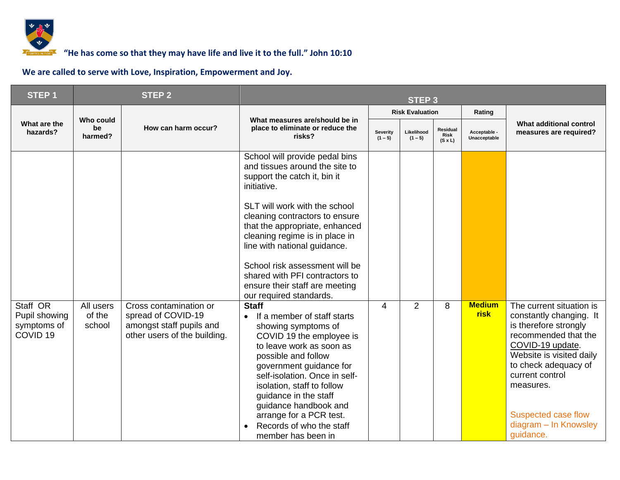

### *<b>F* **6000 TOM** <sup>7</sup> **10000 TOM 10:10 10:10 10:10 10:10 10:10 10:10 10:10 10:10 10:10 10:10 10:10 10:10 10:10 10:10 10:10 10:10 10:10 10:10 10:10 10:10 10:10 10:10 10:10 10:**

| <b>STEP1</b>                                                    |                               | <b>STEP 2</b>                                                                                            | <b>STEP 3</b>                                                                                                                                                                                                                                                                                                                                                                                                                                                                                                                                                                                                                                                                                                                                                                                                      |                              |                         |                                           |                              |                                                                                                                                                                                                                                                                           |  |
|-----------------------------------------------------------------|-------------------------------|----------------------------------------------------------------------------------------------------------|--------------------------------------------------------------------------------------------------------------------------------------------------------------------------------------------------------------------------------------------------------------------------------------------------------------------------------------------------------------------------------------------------------------------------------------------------------------------------------------------------------------------------------------------------------------------------------------------------------------------------------------------------------------------------------------------------------------------------------------------------------------------------------------------------------------------|------------------------------|-------------------------|-------------------------------------------|------------------------------|---------------------------------------------------------------------------------------------------------------------------------------------------------------------------------------------------------------------------------------------------------------------------|--|
|                                                                 |                               |                                                                                                          |                                                                                                                                                                                                                                                                                                                                                                                                                                                                                                                                                                                                                                                                                                                                                                                                                    |                              | <b>Risk Evaluation</b>  |                                           | Rating                       |                                                                                                                                                                                                                                                                           |  |
| What are the<br>hazards?                                        | Who could<br>be<br>harmed?    | How can harm occur?                                                                                      | What measures are/should be in<br>place to eliminate or reduce the<br>risks?                                                                                                                                                                                                                                                                                                                                                                                                                                                                                                                                                                                                                                                                                                                                       | <b>Severity</b><br>$(1 - 5)$ | Likelihood<br>$(1 - 5)$ | Residual<br><b>Risk</b><br>$(S \times L)$ | Acceptable -<br>Unacceptable | What additional control<br>measures are required?                                                                                                                                                                                                                         |  |
| Staff OR<br>Pupil showing<br>symptoms of<br>COVID <sub>19</sub> | All users<br>of the<br>school | Cross contamination or<br>spread of COVID-19<br>amongst staff pupils and<br>other users of the building. | School will provide pedal bins<br>and tissues around the site to<br>support the catch it, bin it<br>initiative.<br>SLT will work with the school<br>cleaning contractors to ensure<br>that the appropriate, enhanced<br>cleaning regime is in place in<br>line with national guidance.<br>School risk assessment will be<br>shared with PFI contractors to<br>ensure their staff are meeting<br>our required standards.<br><b>Staff</b><br>If a member of staff starts<br>$\bullet$<br>showing symptoms of<br>COVID 19 the employee is<br>to leave work as soon as<br>possible and follow<br>government guidance for<br>self-isolation. Once in self-<br>isolation, staff to follow<br>guidance in the staff<br>guidance handbook and<br>arrange for a PCR test.<br>Records of who the staff<br>member has been in | 4                            | $\overline{2}$          | 8                                         | <b>Medium</b><br><b>risk</b> | The current situation is<br>constantly changing. It<br>is therefore strongly<br>recommended that the<br>COVID-19 update.<br>Website is visited daily<br>to check adequacy of<br>current control<br>measures.<br>Suspected case flow<br>diagram - In Knowsley<br>guidance. |  |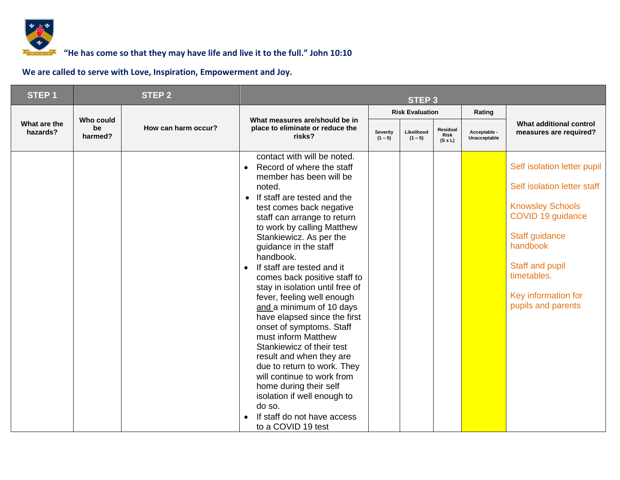

### *<b>F* **6000 TOM** <sup>7</sup> **10000 TOM 10:10 10:10 10:10 10:10 10:10 10:10 10:10 10:10 10:10 10:10 10:10 10:10 10:10 10:10 10:10 10:10 10:10 10:10 10:10 10:10 10:10 10:10 10:10 10:**

| STEP <sub>1</sub>        |                            | <b>STEP 2</b>       |                                                                                                                                                                                                                                                                                                                                                                                                                                                                                                                                                                                                                                                                                                                                                                                                              | <b>STEP 3</b>         |                         |                                           |                              |                                                                                                                                                                                                                         |  |  |
|--------------------------|----------------------------|---------------------|--------------------------------------------------------------------------------------------------------------------------------------------------------------------------------------------------------------------------------------------------------------------------------------------------------------------------------------------------------------------------------------------------------------------------------------------------------------------------------------------------------------------------------------------------------------------------------------------------------------------------------------------------------------------------------------------------------------------------------------------------------------------------------------------------------------|-----------------------|-------------------------|-------------------------------------------|------------------------------|-------------------------------------------------------------------------------------------------------------------------------------------------------------------------------------------------------------------------|--|--|
|                          |                            |                     |                                                                                                                                                                                                                                                                                                                                                                                                                                                                                                                                                                                                                                                                                                                                                                                                              |                       | <b>Risk Evaluation</b>  |                                           | Rating                       |                                                                                                                                                                                                                         |  |  |
| What are the<br>hazards? | Who could<br>be<br>harmed? | How can harm occur? | What measures are/should be in<br>place to eliminate or reduce the<br>risks?                                                                                                                                                                                                                                                                                                                                                                                                                                                                                                                                                                                                                                                                                                                                 | Severity<br>$(1 - 5)$ | Likelihood<br>$(1 - 5)$ | Residual<br><b>Risk</b><br>$(S \times L)$ | Acceptable -<br>Unacceptable | What additional control<br>measures are required?                                                                                                                                                                       |  |  |
|                          |                            |                     | contact with will be noted.<br>Record of where the staff<br>member has been will be<br>noted.<br>If staff are tested and the<br>$\bullet$<br>test comes back negative<br>staff can arrange to return<br>to work by calling Matthew<br>Stankiewicz. As per the<br>guidance in the staff<br>handbook.<br>If staff are tested and it<br>$\bullet$<br>comes back positive staff to<br>stay in isolation until free of<br>fever, feeling well enough<br>and a minimum of 10 days<br>have elapsed since the first<br>onset of symptoms. Staff<br>must inform Matthew<br>Stankiewicz of their test<br>result and when they are<br>due to return to work. They<br>will continue to work from<br>home during their self<br>isolation if well enough to<br>do so.<br>If staff do not have access<br>to a COVID 19 test |                       |                         |                                           |                              | Self isolation letter pupil<br>Self isolation letter staff<br><b>Knowsley Schools</b><br>COVID 19 guidance<br>Staff guidance<br>handbook<br>Staff and pupil<br>timetables.<br>Key information for<br>pupils and parents |  |  |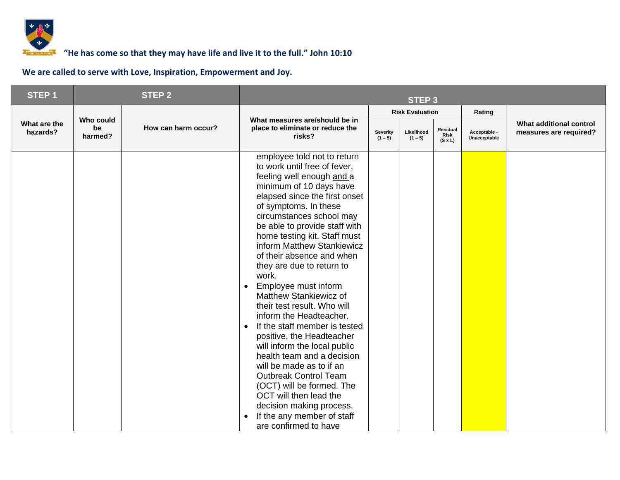

| STEP <sub>1</sub>        |                            | <b>STEP 2</b>       | <b>STEP 3</b>                                                                                                                                                                                                                                                                                                                                                                                                                                                                                                                                                                                                                                                                                                                                                                                                                                                    |                       |                         |                                    |                              |                                                   |  |
|--------------------------|----------------------------|---------------------|------------------------------------------------------------------------------------------------------------------------------------------------------------------------------------------------------------------------------------------------------------------------------------------------------------------------------------------------------------------------------------------------------------------------------------------------------------------------------------------------------------------------------------------------------------------------------------------------------------------------------------------------------------------------------------------------------------------------------------------------------------------------------------------------------------------------------------------------------------------|-----------------------|-------------------------|------------------------------------|------------------------------|---------------------------------------------------|--|
|                          |                            |                     |                                                                                                                                                                                                                                                                                                                                                                                                                                                                                                                                                                                                                                                                                                                                                                                                                                                                  |                       | <b>Risk Evaluation</b>  |                                    | Rating                       |                                                   |  |
| What are the<br>hazards? | Who could<br>be<br>harmed? | How can harm occur? | What measures are/should be in<br>place to eliminate or reduce the<br>risks?                                                                                                                                                                                                                                                                                                                                                                                                                                                                                                                                                                                                                                                                                                                                                                                     | Severity<br>$(1 - 5)$ | Likelihood<br>$(1 - 5)$ | Residual<br>Risk<br>$(S \times L)$ | Acceptable -<br>Unacceptable | What additional control<br>measures are required? |  |
|                          |                            |                     | employee told not to return<br>to work until free of fever,<br>feeling well enough and a<br>minimum of 10 days have<br>elapsed since the first onset<br>of symptoms. In these<br>circumstances school may<br>be able to provide staff with<br>home testing kit. Staff must<br>inform Matthew Stankiewicz<br>of their absence and when<br>they are due to return to<br>work.<br>Employee must inform<br>$\bullet$<br>Matthew Stankiewicz of<br>their test result. Who will<br>inform the Headteacher.<br>If the staff member is tested<br>$\bullet$<br>positive, the Headteacher<br>will inform the local public<br>health team and a decision<br>will be made as to if an<br><b>Outbreak Control Team</b><br>(OCT) will be formed. The<br>OCT will then lead the<br>decision making process.<br>If the any member of staff<br>$\bullet$<br>are confirmed to have |                       |                         |                                    |                              |                                                   |  |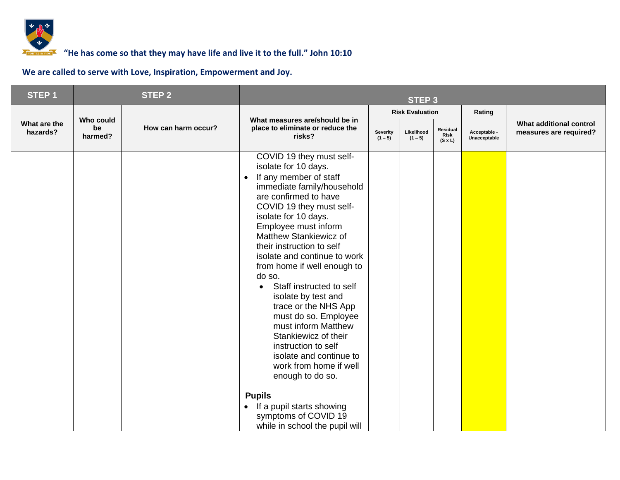

| STEP <sub>1</sub>        |                            | <b>STEP 2</b>       | <b>STEP 3</b>                                                                                                                                                                                                                                                                                                                                                                                                                                                                                                                                                                                                                                                                        |                       |                         |                                    |                              |                                                   |  |
|--------------------------|----------------------------|---------------------|--------------------------------------------------------------------------------------------------------------------------------------------------------------------------------------------------------------------------------------------------------------------------------------------------------------------------------------------------------------------------------------------------------------------------------------------------------------------------------------------------------------------------------------------------------------------------------------------------------------------------------------------------------------------------------------|-----------------------|-------------------------|------------------------------------|------------------------------|---------------------------------------------------|--|
|                          |                            |                     |                                                                                                                                                                                                                                                                                                                                                                                                                                                                                                                                                                                                                                                                                      |                       | <b>Risk Evaluation</b>  |                                    | Rating                       |                                                   |  |
| What are the<br>hazards? | Who could<br>be<br>harmed? | How can harm occur? | What measures are/should be in<br>place to eliminate or reduce the<br>risks?                                                                                                                                                                                                                                                                                                                                                                                                                                                                                                                                                                                                         | Severity<br>$(1 - 5)$ | Likelihood<br>$(1 - 5)$ | Residual<br>Risk<br>$(S \times L)$ | Acceptable -<br>Unacceptable | What additional control<br>measures are required? |  |
|                          |                            |                     | COVID 19 they must self-<br>isolate for 10 days.<br>If any member of staff<br>$\bullet$<br>immediate family/household<br>are confirmed to have<br>COVID 19 they must self-<br>isolate for 10 days.<br>Employee must inform<br>Matthew Stankiewicz of<br>their instruction to self<br>isolate and continue to work<br>from home if well enough to<br>do so.<br>Staff instructed to self<br>$\bullet$<br>isolate by test and<br>trace or the NHS App<br>must do so. Employee<br>must inform Matthew<br>Stankiewicz of their<br>instruction to self<br>isolate and continue to<br>work from home if well<br>enough to do so.<br><b>Pupils</b><br>If a pupil starts showing<br>$\bullet$ |                       |                         |                                    |                              |                                                   |  |
|                          |                            |                     | symptoms of COVID 19<br>while in school the pupil will                                                                                                                                                                                                                                                                                                                                                                                                                                                                                                                                                                                                                               |                       |                         |                                    |                              |                                                   |  |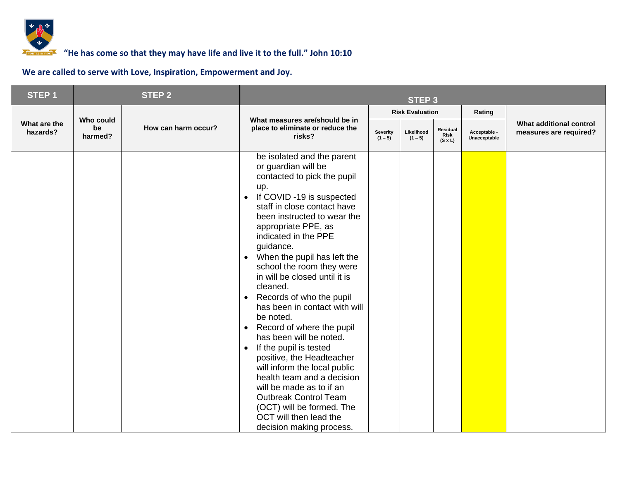

| STEP <sub>1</sub>        |                            | <b>STEP 2</b><br><b>STEP 3</b> |                                                                                                                                                                                                                                                                                                                                                                                                                                                                                                                                                                                                                                                                                                                                                                                                                                |                       |                         |                                    |                              |                                                   |
|--------------------------|----------------------------|--------------------------------|--------------------------------------------------------------------------------------------------------------------------------------------------------------------------------------------------------------------------------------------------------------------------------------------------------------------------------------------------------------------------------------------------------------------------------------------------------------------------------------------------------------------------------------------------------------------------------------------------------------------------------------------------------------------------------------------------------------------------------------------------------------------------------------------------------------------------------|-----------------------|-------------------------|------------------------------------|------------------------------|---------------------------------------------------|
|                          |                            |                                |                                                                                                                                                                                                                                                                                                                                                                                                                                                                                                                                                                                                                                                                                                                                                                                                                                |                       | <b>Risk Evaluation</b>  |                                    | Rating                       |                                                   |
| What are the<br>hazards? | Who could<br>be<br>harmed? | How can harm occur?            | What measures are/should be in<br>place to eliminate or reduce the<br>risks?                                                                                                                                                                                                                                                                                                                                                                                                                                                                                                                                                                                                                                                                                                                                                   | Severity<br>$(1 - 5)$ | Likelihood<br>$(1 - 5)$ | Residual<br>Risk<br>$(S \times L)$ | Acceptable -<br>Unacceptable | What additional control<br>measures are required? |
|                          |                            |                                | be isolated and the parent<br>or guardian will be<br>contacted to pick the pupil<br>up.<br>If COVID -19 is suspected<br>$\bullet$<br>staff in close contact have<br>been instructed to wear the<br>appropriate PPE, as<br>indicated in the PPE<br>guidance.<br>When the pupil has left the<br>$\bullet$<br>school the room they were<br>in will be closed until it is<br>cleaned.<br>Records of who the pupil<br>$\bullet$<br>has been in contact with will<br>be noted.<br>Record of where the pupil<br>$\bullet$<br>has been will be noted.<br>If the pupil is tested<br>$\bullet$<br>positive, the Headteacher<br>will inform the local public<br>health team and a decision<br>will be made as to if an<br><b>Outbreak Control Team</b><br>(OCT) will be formed. The<br>OCT will then lead the<br>decision making process. |                       |                         |                                    |                              |                                                   |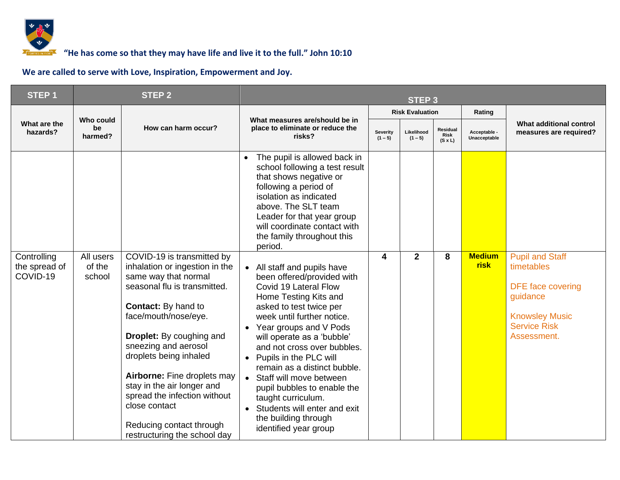

| STEP <sub>1</sub>                        |                               | <b>STEP 2</b>                                                                                                                                                                                                                                                                                                                                                                                                                             |                                                                                                                                                                                                                                                                                                                                                                                                                                                                                                                             |                       | <b>STEP 3</b>           |                                           |                              |                                                                                                                                      |
|------------------------------------------|-------------------------------|-------------------------------------------------------------------------------------------------------------------------------------------------------------------------------------------------------------------------------------------------------------------------------------------------------------------------------------------------------------------------------------------------------------------------------------------|-----------------------------------------------------------------------------------------------------------------------------------------------------------------------------------------------------------------------------------------------------------------------------------------------------------------------------------------------------------------------------------------------------------------------------------------------------------------------------------------------------------------------------|-----------------------|-------------------------|-------------------------------------------|------------------------------|--------------------------------------------------------------------------------------------------------------------------------------|
|                                          |                               |                                                                                                                                                                                                                                                                                                                                                                                                                                           |                                                                                                                                                                                                                                                                                                                                                                                                                                                                                                                             |                       | <b>Risk Evaluation</b>  |                                           | Rating                       |                                                                                                                                      |
| What are the<br>hazards?                 | Who could<br>be<br>harmed?    | How can harm occur?                                                                                                                                                                                                                                                                                                                                                                                                                       | What measures are/should be in<br>place to eliminate or reduce the<br>risks?                                                                                                                                                                                                                                                                                                                                                                                                                                                | Severity<br>$(1 - 5)$ | Likelihood<br>$(1 - 5)$ | Residual<br><b>Risk</b><br>$(S \times L)$ | Acceptable -<br>Unacceptable | What additional control<br>measures are required?                                                                                    |
|                                          |                               |                                                                                                                                                                                                                                                                                                                                                                                                                                           | The pupil is allowed back in<br>school following a test result<br>that shows negative or<br>following a period of<br>isolation as indicated<br>above. The SLT team<br>Leader for that year group<br>will coordinate contact with<br>the family throughout this<br>period.                                                                                                                                                                                                                                                   |                       |                         |                                           |                              |                                                                                                                                      |
| Controlling<br>the spread of<br>COVID-19 | All users<br>of the<br>school | COVID-19 is transmitted by<br>inhalation or ingestion in the<br>same way that normal<br>seasonal flu is transmitted.<br><b>Contact:</b> By hand to<br>face/mouth/nose/eye.<br><b>Droplet:</b> By coughing and<br>sneezing and aerosol<br>droplets being inhaled<br>Airborne: Fine droplets may<br>stay in the air longer and<br>spread the infection without<br>close contact<br>Reducing contact through<br>restructuring the school day | All staff and pupils have<br>$\bullet$<br>been offered/provided with<br>Covid 19 Lateral Flow<br>Home Testing Kits and<br>asked to test twice per<br>week until further notice.<br>Year groups and V Pods<br>will operate as a 'bubble'<br>and not cross over bubbles.<br>Pupils in the PLC will<br>$\bullet$<br>remain as a distinct bubble.<br>Staff will move between<br>pupil bubbles to enable the<br>taught curriculum.<br>Students will enter and exit<br>$\bullet$<br>the building through<br>identified year group | 4                     | $\mathbf{2}$            | 8                                         | <b>Medium</b><br><b>risk</b> | <b>Pupil and Staff</b><br>timetables<br>DFE face covering<br>guidance<br><b>Knowsley Music</b><br><b>Service Risk</b><br>Assessment. |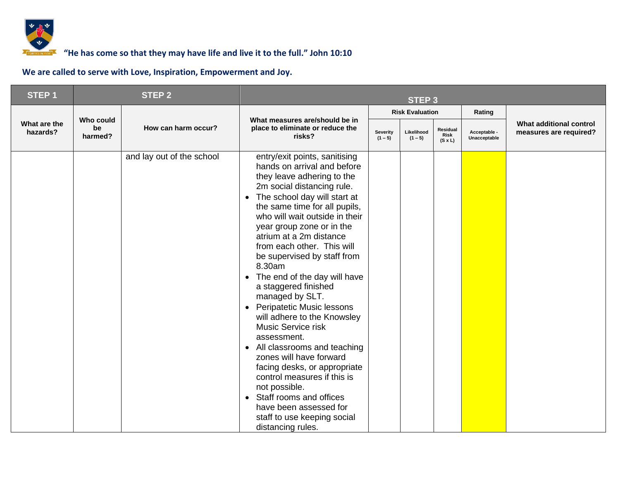

| STEP <sub>1</sub>        |                            | <b>STEP 2</b>             | <b>STEP 3</b>                                                                                                                                                                                                                                                                                                                                                                                                                                                                                                                                                                                                                                                                                                                                                                                                                                        |                              |                         |                                    |                              |                                                   |
|--------------------------|----------------------------|---------------------------|------------------------------------------------------------------------------------------------------------------------------------------------------------------------------------------------------------------------------------------------------------------------------------------------------------------------------------------------------------------------------------------------------------------------------------------------------------------------------------------------------------------------------------------------------------------------------------------------------------------------------------------------------------------------------------------------------------------------------------------------------------------------------------------------------------------------------------------------------|------------------------------|-------------------------|------------------------------------|------------------------------|---------------------------------------------------|
|                          |                            |                           |                                                                                                                                                                                                                                                                                                                                                                                                                                                                                                                                                                                                                                                                                                                                                                                                                                                      |                              | <b>Risk Evaluation</b>  |                                    | Rating                       |                                                   |
| What are the<br>hazards? | Who could<br>be<br>harmed? | How can harm occur?       | What measures are/should be in<br>place to eliminate or reduce the<br>risks?                                                                                                                                                                                                                                                                                                                                                                                                                                                                                                                                                                                                                                                                                                                                                                         | <b>Severity</b><br>$(1 - 5)$ | Likelihood<br>$(1 - 5)$ | Residual<br>Risk<br>$(S \times L)$ | Acceptable -<br>Unacceptable | What additional control<br>measures are required? |
|                          |                            | and lay out of the school | entry/exit points, sanitising<br>hands on arrival and before<br>they leave adhering to the<br>2m social distancing rule.<br>The school day will start at<br>the same time for all pupils,<br>who will wait outside in their<br>year group zone or in the<br>atrium at a 2m distance<br>from each other. This will<br>be supervised by staff from<br>8.30am<br>The end of the day will have<br>$\bullet$<br>a staggered finished<br>managed by SLT.<br><b>Peripatetic Music lessons</b><br>$\bullet$<br>will adhere to the Knowsley<br>Music Service risk<br>assessment.<br>All classrooms and teaching<br>$\bullet$<br>zones will have forward<br>facing desks, or appropriate<br>control measures if this is<br>not possible.<br>Staff rooms and offices<br>$\bullet$<br>have been assessed for<br>staff to use keeping social<br>distancing rules. |                              |                         |                                    |                              |                                                   |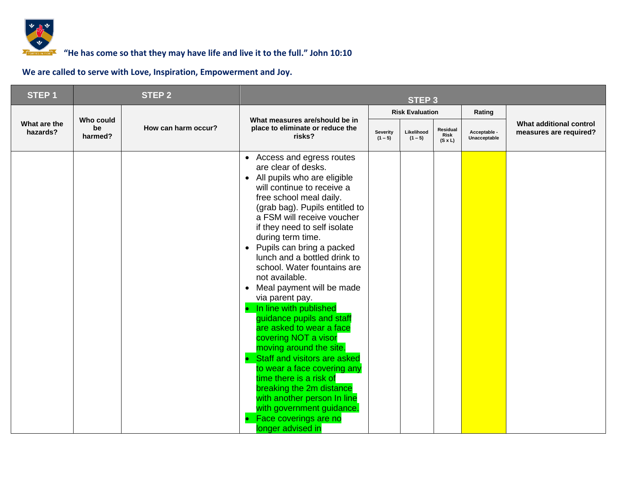

| <b>STEP1</b>             |                            | <b>STEP 2</b>       | <b>STEP 3</b>                                                                                                                                                                                                                                                                                                                                                                                                                                                                                                                                                                                                                                                                                                                                                                                                       |                              |                         |                                           |                              |                                                   |
|--------------------------|----------------------------|---------------------|---------------------------------------------------------------------------------------------------------------------------------------------------------------------------------------------------------------------------------------------------------------------------------------------------------------------------------------------------------------------------------------------------------------------------------------------------------------------------------------------------------------------------------------------------------------------------------------------------------------------------------------------------------------------------------------------------------------------------------------------------------------------------------------------------------------------|------------------------------|-------------------------|-------------------------------------------|------------------------------|---------------------------------------------------|
|                          |                            |                     |                                                                                                                                                                                                                                                                                                                                                                                                                                                                                                                                                                                                                                                                                                                                                                                                                     |                              | <b>Risk Evaluation</b>  |                                           | Rating                       |                                                   |
| What are the<br>hazards? | Who could<br>be<br>harmed? | How can harm occur? | What measures are/should be in<br>place to eliminate or reduce the<br>risks?                                                                                                                                                                                                                                                                                                                                                                                                                                                                                                                                                                                                                                                                                                                                        | <b>Severity</b><br>$(1 - 5)$ | Likelihood<br>$(1 - 5)$ | Residual<br><b>Risk</b><br>$(S \times L)$ | Acceptable -<br>Unacceptable | What additional control<br>measures are required? |
|                          |                            |                     | • Access and egress routes<br>are clear of desks.<br>• All pupils who are eligible<br>will continue to receive a<br>free school meal daily.<br>(grab bag). Pupils entitled to<br>a FSM will receive voucher<br>if they need to self isolate<br>during term time.<br>• Pupils can bring a packed<br>lunch and a bottled drink to<br>school. Water fountains are<br>not available.<br>Meal payment will be made<br>$\bullet$<br>via parent pay.<br>In line with published<br>guidance pupils and staff<br>are asked to wear a face<br>covering NOT a visor<br>moving around the site.<br>Staff and visitors are asked<br>to wear a face covering any<br>time there is a risk of<br>breaking the 2m distance<br>with another person In line<br>with government guidance.<br>Face coverings are no<br>longer advised in |                              |                         |                                           |                              |                                                   |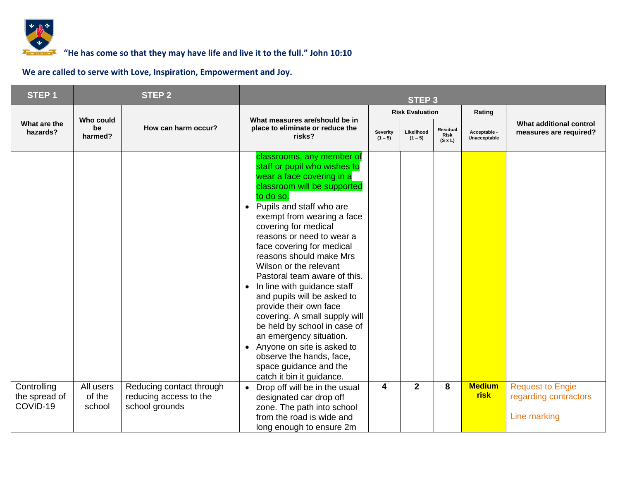

| <b>STEP1</b>                             |                               | <b>STEP 2</b>                                                        |                                                                                                                                                                                                                                                                                                                                                                                                                                                                                                                                                                                                                                                                                                                 | <b>STEP 3</b>         |                         |                                           |                              |                                                                  |
|------------------------------------------|-------------------------------|----------------------------------------------------------------------|-----------------------------------------------------------------------------------------------------------------------------------------------------------------------------------------------------------------------------------------------------------------------------------------------------------------------------------------------------------------------------------------------------------------------------------------------------------------------------------------------------------------------------------------------------------------------------------------------------------------------------------------------------------------------------------------------------------------|-----------------------|-------------------------|-------------------------------------------|------------------------------|------------------------------------------------------------------|
|                                          |                               |                                                                      |                                                                                                                                                                                                                                                                                                                                                                                                                                                                                                                                                                                                                                                                                                                 |                       | <b>Risk Evaluation</b>  |                                           | Rating                       |                                                                  |
| What are the<br>hazards?                 | Who could<br>be<br>harmed?    | How can harm occur?                                                  | What measures are/should be in<br>place to eliminate or reduce the<br>risks?                                                                                                                                                                                                                                                                                                                                                                                                                                                                                                                                                                                                                                    | Severity<br>$(1 - 5)$ | Likelihood<br>$(1 - 5)$ | Residual<br><b>Risk</b><br>$(S \times L)$ | Acceptable -<br>Unacceptable | What additional control<br>measures are required?                |
|                                          |                               |                                                                      | classrooms, any member of<br>staff or pupil who wishes to<br>wear a face covering in a<br>classroom will be supported<br>to do so.<br>Pupils and staff who are<br>$\bullet$<br>exempt from wearing a face<br>covering for medical<br>reasons or need to wear a<br>face covering for medical<br>reasons should make Mrs<br>Wilson or the relevant<br>Pastoral team aware of this.<br>In line with guidance staff<br>$\bullet$<br>and pupils will be asked to<br>provide their own face<br>covering. A small supply will<br>be held by school in case of<br>an emergency situation.<br>Anyone on site is asked to<br>$\bullet$<br>observe the hands, face,<br>space guidance and the<br>catch it bin it guidance. |                       |                         |                                           |                              |                                                                  |
| Controlling<br>the spread of<br>COVID-19 | All users<br>of the<br>school | Reducing contact through<br>reducing access to the<br>school grounds | Drop off will be in the usual<br>designated car drop off<br>zone. The path into school<br>from the road is wide and<br>long enough to ensure 2m                                                                                                                                                                                                                                                                                                                                                                                                                                                                                                                                                                 | 4                     | $\overline{2}$          | 8                                         | <b>Medium</b><br><b>risk</b> | <b>Request to Engie</b><br>regarding contractors<br>Line marking |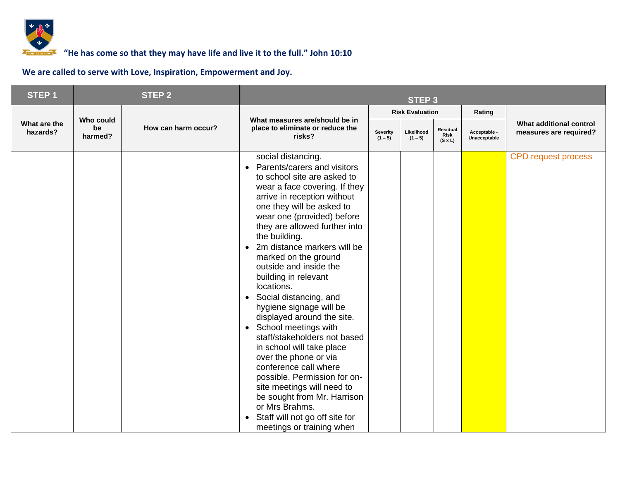

| STEP <sub>1</sub>        |                            | <b>STEP 2</b>       |                                                                                                                                                                                                                                                                                                                                                                                                                                                                                                                                                                                                                                                                                                                                                                                                                                                  |                       | <b>STEP 3</b>           |                                    |                              |                                                   |
|--------------------------|----------------------------|---------------------|--------------------------------------------------------------------------------------------------------------------------------------------------------------------------------------------------------------------------------------------------------------------------------------------------------------------------------------------------------------------------------------------------------------------------------------------------------------------------------------------------------------------------------------------------------------------------------------------------------------------------------------------------------------------------------------------------------------------------------------------------------------------------------------------------------------------------------------------------|-----------------------|-------------------------|------------------------------------|------------------------------|---------------------------------------------------|
|                          |                            |                     |                                                                                                                                                                                                                                                                                                                                                                                                                                                                                                                                                                                                                                                                                                                                                                                                                                                  |                       | <b>Risk Evaluation</b>  |                                    | Rating                       |                                                   |
| What are the<br>hazards? | Who could<br>be<br>harmed? | How can harm occur? | What measures are/should be in<br>place to eliminate or reduce the<br>risks?                                                                                                                                                                                                                                                                                                                                                                                                                                                                                                                                                                                                                                                                                                                                                                     | Severity<br>$(1 - 5)$ | Likelihood<br>$(1 - 5)$ | Residual<br>Risk<br>$(S \times L)$ | Acceptable -<br>Unacceptable | What additional control<br>measures are required? |
|                          |                            |                     | social distancing.<br>Parents/carers and visitors<br>$\bullet$<br>to school site are asked to<br>wear a face covering. If they<br>arrive in reception without<br>one they will be asked to<br>wear one (provided) before<br>they are allowed further into<br>the building.<br>2m distance markers will be<br>marked on the ground<br>outside and inside the<br>building in relevant<br>locations.<br>Social distancing, and<br>$\bullet$<br>hygiene signage will be<br>displayed around the site.<br>School meetings with<br>$\bullet$<br>staff/stakeholders not based<br>in school will take place<br>over the phone or via<br>conference call where<br>possible. Permission for on-<br>site meetings will need to<br>be sought from Mr. Harrison<br>or Mrs Brahms.<br>Staff will not go off site for<br>$\bullet$<br>meetings or training when |                       |                         |                                    |                              | <b>CPD request process</b>                        |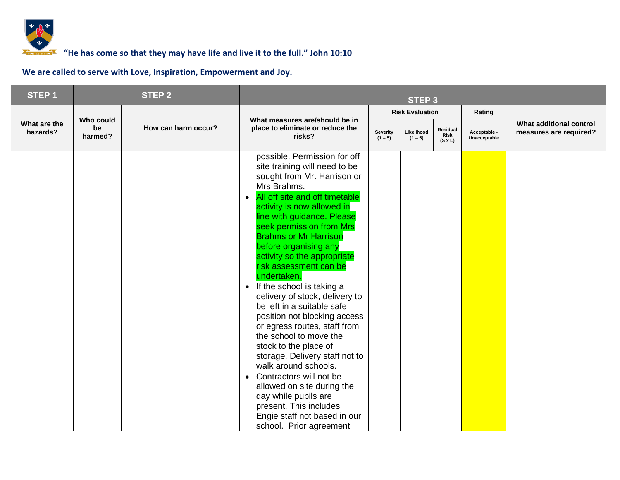

| STEP <sub>1</sub>        |                            | <b>STEP 2</b>       |                                                                                                                                                                                                                                                                                                                                                                                                                                                                                                                                                                                                                                                                                                                                                                                                                          |  | <b>STEP 3</b>           |                                    |                              |                                                   |
|--------------------------|----------------------------|---------------------|--------------------------------------------------------------------------------------------------------------------------------------------------------------------------------------------------------------------------------------------------------------------------------------------------------------------------------------------------------------------------------------------------------------------------------------------------------------------------------------------------------------------------------------------------------------------------------------------------------------------------------------------------------------------------------------------------------------------------------------------------------------------------------------------------------------------------|--|-------------------------|------------------------------------|------------------------------|---------------------------------------------------|
|                          |                            |                     |                                                                                                                                                                                                                                                                                                                                                                                                                                                                                                                                                                                                                                                                                                                                                                                                                          |  | <b>Risk Evaluation</b>  |                                    | Rating                       |                                                   |
| What are the<br>hazards? | Who could<br>be<br>harmed? | How can harm occur? | What measures are/should be in<br>place to eliminate or reduce the<br>Severity<br>risks?<br>$(1 - 5)$                                                                                                                                                                                                                                                                                                                                                                                                                                                                                                                                                                                                                                                                                                                    |  | Likelihood<br>$(1 - 5)$ | Residual<br>Risk<br>$(S \times L)$ | Acceptable -<br>Unacceptable | What additional control<br>measures are required? |
|                          |                            |                     | possible. Permission for off<br>site training will need to be<br>sought from Mr. Harrison or<br>Mrs Brahms.<br>All off site and off timetable<br>activity is now allowed in<br>line with guidance. Please<br>seek permission from Mrs<br><b>Brahms or Mr Harrison</b><br>before organising any<br>activity so the appropriate<br>risk assessment can be<br>undertaken.<br>• If the school is taking a<br>delivery of stock, delivery to<br>be left in a suitable safe<br>position not blocking access<br>or egress routes, staff from<br>the school to move the<br>stock to the place of<br>storage. Delivery staff not to<br>walk around schools.<br>Contractors will not be<br>allowed on site during the<br>day while pupils are<br>present. This includes<br>Engie staff not based in our<br>school. Prior agreement |  |                         |                                    |                              |                                                   |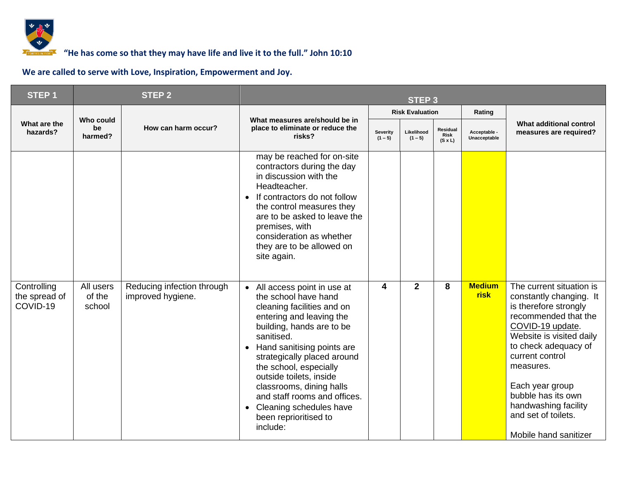

| <b>STEP1</b>                             | <b>STEP 2</b>                     |                                                 |                                                                                                                                                                                                                                                                                                                                                                                                                    | <b>STEP 3</b>         |                         |                                           |                              |                                                                                                                                                                                                                                                                                                                               |
|------------------------------------------|-----------------------------------|-------------------------------------------------|--------------------------------------------------------------------------------------------------------------------------------------------------------------------------------------------------------------------------------------------------------------------------------------------------------------------------------------------------------------------------------------------------------------------|-----------------------|-------------------------|-------------------------------------------|------------------------------|-------------------------------------------------------------------------------------------------------------------------------------------------------------------------------------------------------------------------------------------------------------------------------------------------------------------------------|
|                                          |                                   |                                                 |                                                                                                                                                                                                                                                                                                                                                                                                                    |                       | <b>Risk Evaluation</b>  |                                           | Rating                       | What additional control<br>measures are required?                                                                                                                                                                                                                                                                             |
| What are the<br>hazards?                 | <b>Who could</b><br>be<br>harmed? | How can harm occur?                             | What measures are/should be in<br>place to eliminate or reduce the<br>risks?                                                                                                                                                                                                                                                                                                                                       | Severity<br>$(1 - 5)$ | Likelihood<br>$(1 - 5)$ | Residual<br><b>Risk</b><br>$(S \times L)$ | Acceptable -<br>Unacceptable |                                                                                                                                                                                                                                                                                                                               |
|                                          |                                   |                                                 | may be reached for on-site<br>contractors during the day<br>in discussion with the<br>Headteacher.<br>If contractors do not follow<br>$\bullet$<br>the control measures they<br>are to be asked to leave the<br>premises, with<br>consideration as whether<br>they are to be allowed on<br>site again.                                                                                                             |                       |                         |                                           |                              |                                                                                                                                                                                                                                                                                                                               |
| Controlling<br>the spread of<br>COVID-19 | All users<br>of the<br>school     | Reducing infection through<br>improved hygiene. | All access point in use at<br>$\bullet$<br>the school have hand<br>cleaning facilities and on<br>entering and leaving the<br>building, hands are to be<br>sanitised.<br>Hand sanitising points are<br>strategically placed around<br>the school, especially<br>outside toilets, inside<br>classrooms, dining halls<br>and staff rooms and offices.<br>Cleaning schedules have<br>been reprioritised to<br>include: | 4                     | $\overline{2}$          | 8                                         | <b>Medium</b><br><b>risk</b> | The current situation is<br>constantly changing. It<br>is therefore strongly<br>recommended that the<br>COVID-19 update.<br>Website is visited daily<br>to check adequacy of<br>current control<br>measures.<br>Each year group<br>bubble has its own<br>handwashing facility<br>and set of toilets.<br>Mobile hand sanitizer |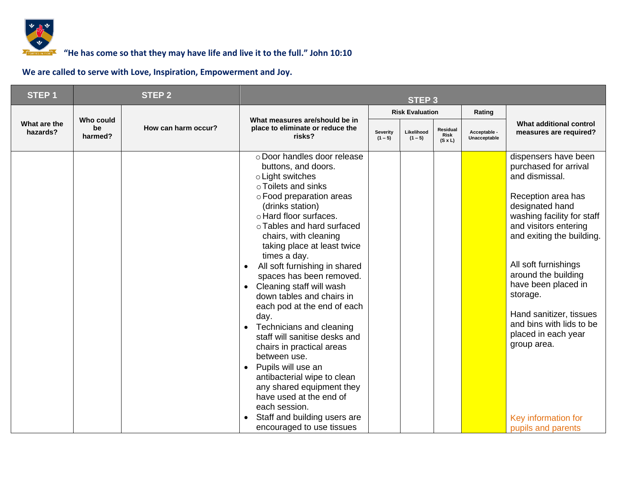

| <b>STEP1</b>             |                            | <b>STEP 2</b>       |                                                                                                                                                                                                                                                                                                                                                                                                                                                                                                                                                                                                                                                                                                                                                                                                                  | <b>STEP 3</b>         |                         |                                    |                              |                                                                                                                                                                                                                                                                                                                                                                                                                          |
|--------------------------|----------------------------|---------------------|------------------------------------------------------------------------------------------------------------------------------------------------------------------------------------------------------------------------------------------------------------------------------------------------------------------------------------------------------------------------------------------------------------------------------------------------------------------------------------------------------------------------------------------------------------------------------------------------------------------------------------------------------------------------------------------------------------------------------------------------------------------------------------------------------------------|-----------------------|-------------------------|------------------------------------|------------------------------|--------------------------------------------------------------------------------------------------------------------------------------------------------------------------------------------------------------------------------------------------------------------------------------------------------------------------------------------------------------------------------------------------------------------------|
|                          |                            |                     |                                                                                                                                                                                                                                                                                                                                                                                                                                                                                                                                                                                                                                                                                                                                                                                                                  |                       | <b>Risk Evaluation</b>  |                                    | Rating                       |                                                                                                                                                                                                                                                                                                                                                                                                                          |
| What are the<br>hazards? | Who could<br>be<br>harmed? | How can harm occur? | What measures are/should be in<br>place to eliminate or reduce the<br>risks?                                                                                                                                                                                                                                                                                                                                                                                                                                                                                                                                                                                                                                                                                                                                     | Severity<br>$(1 - 5)$ | Likelihood<br>$(1 - 5)$ | Residual<br>Risk<br>$(S \times L)$ | Acceptable -<br>Unacceptable | What additional control<br>measures are required?                                                                                                                                                                                                                                                                                                                                                                        |
|                          |                            |                     | o Door handles door release<br>buttons, and doors.<br>o Light switches<br>○ Toilets and sinks<br>o Food preparation areas<br>(drinks station)<br>o Hard floor surfaces.<br>o Tables and hard surfaced<br>chairs, with cleaning<br>taking place at least twice<br>times a day.<br>All soft furnishing in shared<br>$\bullet$<br>spaces has been removed.<br>Cleaning staff will wash<br>$\bullet$<br>down tables and chairs in<br>each pod at the end of each<br>day.<br>Technicians and cleaning<br>$\bullet$<br>staff will sanitise desks and<br>chairs in practical areas<br>between use.<br>Pupils will use an<br>$\bullet$<br>antibacterial wipe to clean<br>any shared equipment they<br>have used at the end of<br>each session.<br>Staff and building users are<br>$\bullet$<br>encouraged to use tissues |                       |                         |                                    |                              | dispensers have been<br>purchased for arrival<br>and dismissal.<br>Reception area has<br>designated hand<br>washing facility for staff<br>and visitors entering<br>and exiting the building.<br>All soft furnishings<br>around the building<br>have been placed in<br>storage.<br>Hand sanitizer, tissues<br>and bins with lids to be<br>placed in each year<br>group area.<br>Key information for<br>pupils and parents |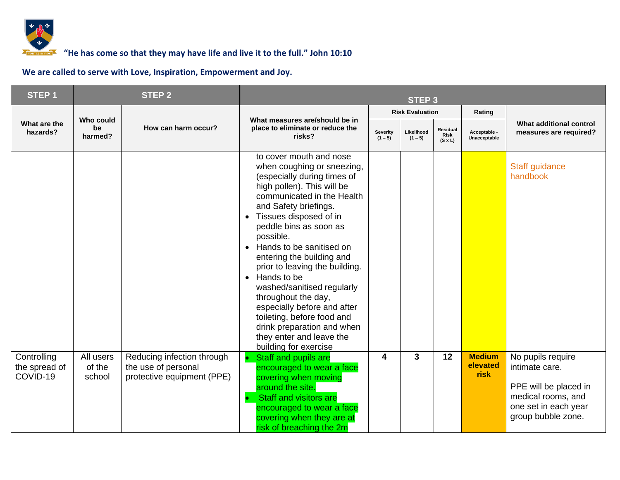

| <b>STEP1</b>                             |                               | <b>STEP 2</b>                                                                   |                                                                                                                                                                                                                                                                                                                                                                                                                                                                                                                                                                        |                       | <b>STEP 3</b>           |                                    |                                   |                                                                                                                                                                       |
|------------------------------------------|-------------------------------|---------------------------------------------------------------------------------|------------------------------------------------------------------------------------------------------------------------------------------------------------------------------------------------------------------------------------------------------------------------------------------------------------------------------------------------------------------------------------------------------------------------------------------------------------------------------------------------------------------------------------------------------------------------|-----------------------|-------------------------|------------------------------------|-----------------------------------|-----------------------------------------------------------------------------------------------------------------------------------------------------------------------|
|                                          |                               |                                                                                 |                                                                                                                                                                                                                                                                                                                                                                                                                                                                                                                                                                        |                       | <b>Risk Evaluation</b>  |                                    | Rating                            | What additional control<br>measures are required?<br>Staff guidance<br>handbook<br>No pupils require<br>intimate care.<br>PPE will be placed in<br>medical rooms, and |
| What are the<br>hazards?                 | Who could<br>be<br>harmed?    | How can harm occur?                                                             | What measures are/should be in<br>place to eliminate or reduce the<br>risks?                                                                                                                                                                                                                                                                                                                                                                                                                                                                                           | Severity<br>$(1 - 5)$ | Likelihood<br>$(1 - 5)$ | Residual<br>Risk<br>$(S \times L)$ | Acceptable -<br>Unacceptable      |                                                                                                                                                                       |
|                                          |                               |                                                                                 | to cover mouth and nose<br>when coughing or sneezing,<br>(especially during times of<br>high pollen). This will be<br>communicated in the Health<br>and Safety briefings.<br>Tissues disposed of in<br>peddle bins as soon as<br>possible.<br>Hands to be sanitised on<br>entering the building and<br>prior to leaving the building.<br>Hands to be<br>$\bullet$<br>washed/sanitised regularly<br>throughout the day,<br>especially before and after<br>toileting, before food and<br>drink preparation and when<br>they enter and leave the<br>building for exercise |                       |                         |                                    |                                   |                                                                                                                                                                       |
| Controlling<br>the spread of<br>COVID-19 | All users<br>of the<br>school | Reducing infection through<br>the use of personal<br>protective equipment (PPE) | Staff and pupils are<br>encouraged to wear a face<br>covering when moving<br>around the site.<br><b>Staff and visitors are</b><br>encouraged to wear a face<br>covering when they are at<br>risk of breaching the 2m                                                                                                                                                                                                                                                                                                                                                   | 4                     | $\mathbf{3}$            | 12                                 | <b>Medium</b><br>elevated<br>risk | one set in each year<br>group bubble zone.                                                                                                                            |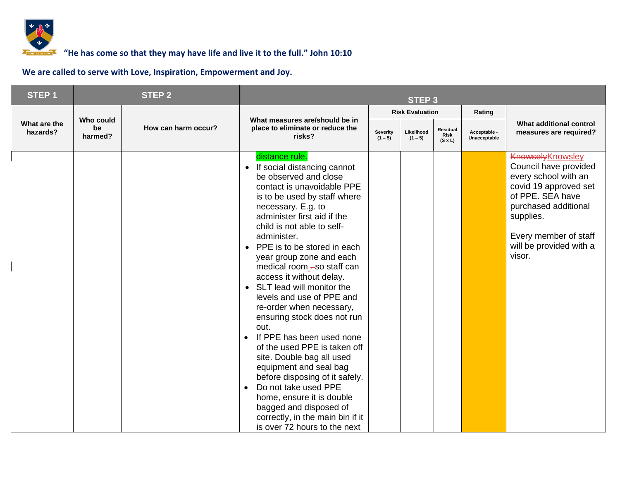

| STEP <sub>1</sub>        |                            | <b>STEP 2</b>       |                                                                                                                                                                                                                                                                                                                                                                                                                                                                                                                                                                                                                                                                                                                                                                                                                                                         | STEP <sub>3</sub>     |                         |                                           |                              |                                                                                                                                                                                                                           |
|--------------------------|----------------------------|---------------------|---------------------------------------------------------------------------------------------------------------------------------------------------------------------------------------------------------------------------------------------------------------------------------------------------------------------------------------------------------------------------------------------------------------------------------------------------------------------------------------------------------------------------------------------------------------------------------------------------------------------------------------------------------------------------------------------------------------------------------------------------------------------------------------------------------------------------------------------------------|-----------------------|-------------------------|-------------------------------------------|------------------------------|---------------------------------------------------------------------------------------------------------------------------------------------------------------------------------------------------------------------------|
|                          |                            |                     |                                                                                                                                                                                                                                                                                                                                                                                                                                                                                                                                                                                                                                                                                                                                                                                                                                                         |                       | <b>Risk Evaluation</b>  |                                           | Rating                       |                                                                                                                                                                                                                           |
| What are the<br>hazards? | Who could<br>be<br>harmed? | How can harm occur? | What measures are/should be in<br>place to eliminate or reduce the<br>risks?                                                                                                                                                                                                                                                                                                                                                                                                                                                                                                                                                                                                                                                                                                                                                                            | Severity<br>$(1 - 5)$ | Likelihood<br>$(1 - 5)$ | Residual<br><b>Risk</b><br>$(S \times L)$ | Acceptable -<br>Unacceptable | What additional control<br>measures are required?                                                                                                                                                                         |
|                          |                            |                     | distance rule.<br>• If social distancing cannot<br>be observed and close<br>contact is unavoidable PPE<br>is to be used by staff where<br>necessary. E.g. to<br>administer first aid if the<br>child is not able to self-<br>administer.<br>PPE is to be stored in each<br>$\bullet$<br>year group zone and each<br>medical room -so staff can<br>access it without delay.<br>SLT lead will monitor the<br>$\bullet$<br>levels and use of PPE and<br>re-order when necessary,<br>ensuring stock does not run<br>out.<br>If PPE has been used none<br>$\bullet$<br>of the used PPE is taken off<br>site. Double bag all used<br>equipment and seal bag<br>before disposing of it safely.<br>Do not take used PPE<br>$\bullet$<br>home, ensure it is double<br>bagged and disposed of<br>correctly, in the main bin if it<br>is over 72 hours to the next |                       |                         |                                           |                              | <b>Knowsely Knowsley</b><br>Council have provided<br>every school with an<br>covid 19 approved set<br>of PPE. SEA have<br>purchased additional<br>supplies.<br>Every member of staff<br>will be provided with a<br>visor. |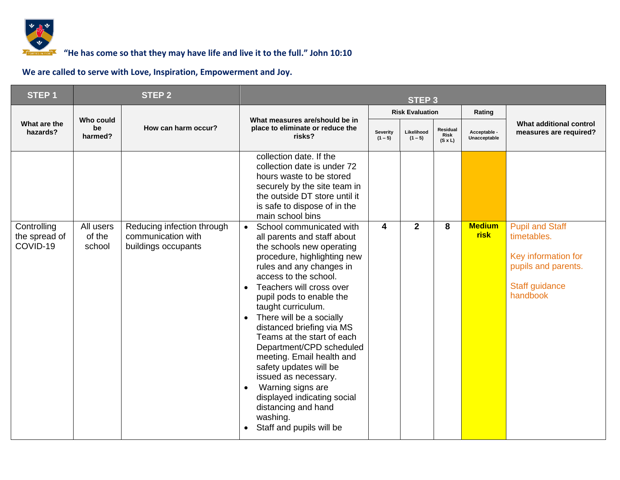

### *<b>F* **6000 TOM** <sup>7</sup> **10000 TOM 10:10 10:10 10:10 10:10 10:10 10:10 10:10 10:10 10:10 10:10 10:10 10:10 10:10 10:10 10:10 10:10 10:10 10:10 10:10 10:10 10:10 10:10 10:10 10:**

| STEP <sub>1</sub>                        |                               | <b>STEP 2</b>                                                           |                                                                                                                                                                                                                                                                                                                                                                                                                                                                                                                                                                                                       |                              | STEP <sub>3</sub>       |                                    |                              |                                                                                                                   |
|------------------------------------------|-------------------------------|-------------------------------------------------------------------------|-------------------------------------------------------------------------------------------------------------------------------------------------------------------------------------------------------------------------------------------------------------------------------------------------------------------------------------------------------------------------------------------------------------------------------------------------------------------------------------------------------------------------------------------------------------------------------------------------------|------------------------------|-------------------------|------------------------------------|------------------------------|-------------------------------------------------------------------------------------------------------------------|
|                                          |                               |                                                                         |                                                                                                                                                                                                                                                                                                                                                                                                                                                                                                                                                                                                       |                              | <b>Risk Evaluation</b>  |                                    | Rating                       |                                                                                                                   |
| What are the<br>hazards?                 | Who could<br>be<br>harmed?    | How can harm occur?                                                     | What measures are/should be in<br>place to eliminate or reduce the<br>risks?                                                                                                                                                                                                                                                                                                                                                                                                                                                                                                                          | <b>Severity</b><br>$(1 - 5)$ | Likelihood<br>$(1 - 5)$ | Residual<br>Risk<br>$(S \times L)$ | Acceptable -<br>Unacceptable | What additional control<br>measures are required?                                                                 |
|                                          |                               |                                                                         | collection date. If the<br>collection date is under 72<br>hours waste to be stored<br>securely by the site team in<br>the outside DT store until it<br>is safe to dispose of in the<br>main school bins                                                                                                                                                                                                                                                                                                                                                                                               |                              |                         |                                    |                              |                                                                                                                   |
| Controlling<br>the spread of<br>COVID-19 | All users<br>of the<br>school | Reducing infection through<br>communication with<br>buildings occupants | School communicated with<br>$\bullet$<br>all parents and staff about<br>the schools new operating<br>procedure, highlighting new<br>rules and any changes in<br>access to the school.<br>Teachers will cross over<br>pupil pods to enable the<br>taught curriculum.<br>There will be a socially<br>distanced briefing via MS<br>Teams at the start of each<br>Department/CPD scheduled<br>meeting. Email health and<br>safety updates will be<br>issued as necessary.<br>Warning signs are<br>displayed indicating social<br>distancing and hand<br>washing.<br>Staff and pupils will be<br>$\bullet$ | 4                            | $\overline{2}$          | 8                                  | <b>Medium</b><br><b>risk</b> | <b>Pupil and Staff</b><br>timetables.<br>Key information for<br>pupils and parents.<br>Staff guidance<br>handbook |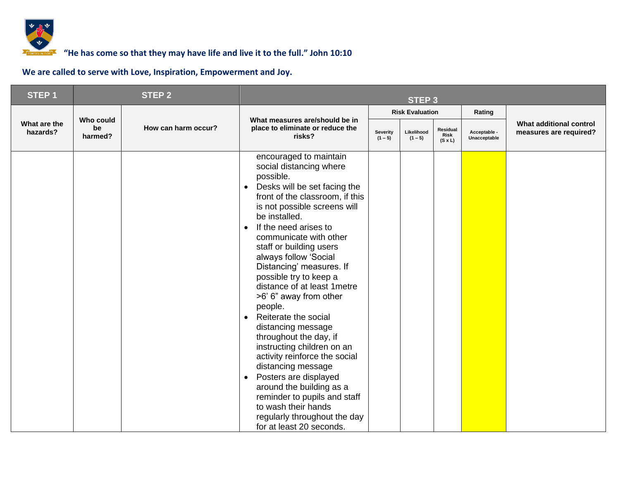

| STEP <sub>1</sub>        |                            | <b>STEP 2</b>       | <b>STEP 3</b>                                                                                                                                                                                                                                                                                                                                                                                                                                                                                                                                                                                                                                                                                                                                                                                                 |                       |                         |                                    |                              |                                                   |
|--------------------------|----------------------------|---------------------|---------------------------------------------------------------------------------------------------------------------------------------------------------------------------------------------------------------------------------------------------------------------------------------------------------------------------------------------------------------------------------------------------------------------------------------------------------------------------------------------------------------------------------------------------------------------------------------------------------------------------------------------------------------------------------------------------------------------------------------------------------------------------------------------------------------|-----------------------|-------------------------|------------------------------------|------------------------------|---------------------------------------------------|
|                          |                            |                     |                                                                                                                                                                                                                                                                                                                                                                                                                                                                                                                                                                                                                                                                                                                                                                                                               |                       | <b>Risk Evaluation</b>  |                                    | Rating                       |                                                   |
| What are the<br>hazards? | Who could<br>be<br>harmed? | How can harm occur? | What measures are/should be in<br>place to eliminate or reduce the<br>risks?                                                                                                                                                                                                                                                                                                                                                                                                                                                                                                                                                                                                                                                                                                                                  | Severity<br>$(1 - 5)$ | Likelihood<br>$(1 - 5)$ | Residual<br>Risk<br>$(S \times L)$ | Acceptable -<br>Unacceptable | What additional control<br>measures are required? |
|                          |                            |                     | encouraged to maintain<br>social distancing where<br>possible.<br>Desks will be set facing the<br>$\bullet$<br>front of the classroom, if this<br>is not possible screens will<br>be installed.<br>If the need arises to<br>$\bullet$<br>communicate with other<br>staff or building users<br>always follow 'Social<br>Distancing' measures. If<br>possible try to keep a<br>distance of at least 1 metre<br>>6' 6" away from other<br>people.<br>Reiterate the social<br>$\bullet$<br>distancing message<br>throughout the day, if<br>instructing children on an<br>activity reinforce the social<br>distancing message<br>Posters are displayed<br>$\bullet$<br>around the building as a<br>reminder to pupils and staff<br>to wash their hands<br>regularly throughout the day<br>for at least 20 seconds. |                       |                         |                                    |                              |                                                   |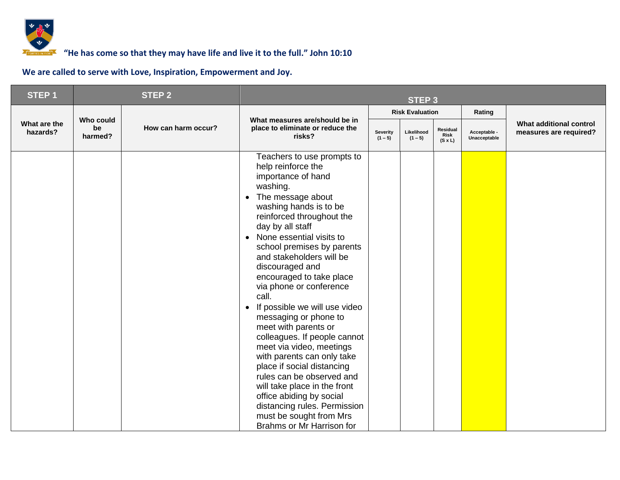

| STEP <sub>1</sub>        |                            | <b>STEP 2</b>       | <b>STEP 3</b>                                                                                                                                                                                                                                                                                                                                                                                                                                                                                                                                                                                                                                                                                                                                                                                 |  |                         |                                           |                              |                                                   |
|--------------------------|----------------------------|---------------------|-----------------------------------------------------------------------------------------------------------------------------------------------------------------------------------------------------------------------------------------------------------------------------------------------------------------------------------------------------------------------------------------------------------------------------------------------------------------------------------------------------------------------------------------------------------------------------------------------------------------------------------------------------------------------------------------------------------------------------------------------------------------------------------------------|--|-------------------------|-------------------------------------------|------------------------------|---------------------------------------------------|
|                          |                            |                     |                                                                                                                                                                                                                                                                                                                                                                                                                                                                                                                                                                                                                                                                                                                                                                                               |  | <b>Risk Evaluation</b>  |                                           | Rating                       |                                                   |
| What are the<br>hazards? | Who could<br>be<br>harmed? | How can harm occur? | What measures are/should be in<br>place to eliminate or reduce the<br><b>Severity</b><br>risks?<br>$(1 - 5)$                                                                                                                                                                                                                                                                                                                                                                                                                                                                                                                                                                                                                                                                                  |  | Likelihood<br>$(1 - 5)$ | Residual<br><b>Risk</b><br>$(S \times L)$ | Acceptable -<br>Unacceptable | What additional control<br>measures are required? |
|                          |                            |                     | Teachers to use prompts to<br>help reinforce the<br>importance of hand<br>washing.<br>The message about<br>$\bullet$<br>washing hands is to be<br>reinforced throughout the<br>day by all staff<br>None essential visits to<br>$\bullet$<br>school premises by parents<br>and stakeholders will be<br>discouraged and<br>encouraged to take place<br>via phone or conference<br>call.<br>If possible we will use video<br>$\bullet$<br>messaging or phone to<br>meet with parents or<br>colleagues. If people cannot<br>meet via video, meetings<br>with parents can only take<br>place if social distancing<br>rules can be observed and<br>will take place in the front<br>office abiding by social<br>distancing rules. Permission<br>must be sought from Mrs<br>Brahms or Mr Harrison for |  |                         |                                           |                              |                                                   |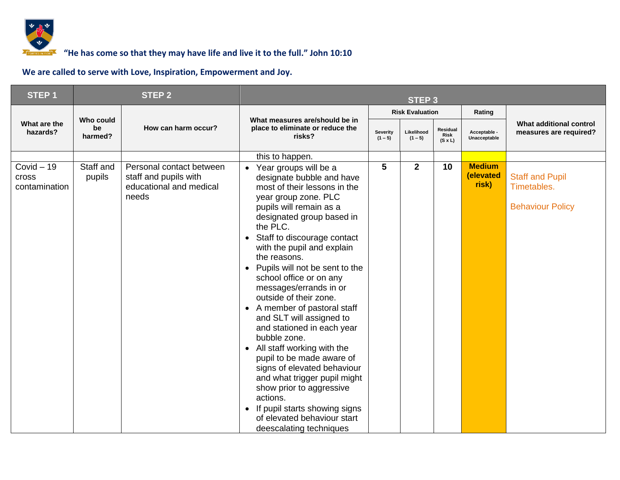

| STEP <sub>1</sub>                             |                            | <b>STEP 2</b>                                                                         | <b>STEP 3</b>                                                                                                                                                                                                                                                                                                                                                                                                                                                                                                                                                                                                                                                                                                                                                                                                        |   |                         |                                           |                                     |                                                                  |
|-----------------------------------------------|----------------------------|---------------------------------------------------------------------------------------|----------------------------------------------------------------------------------------------------------------------------------------------------------------------------------------------------------------------------------------------------------------------------------------------------------------------------------------------------------------------------------------------------------------------------------------------------------------------------------------------------------------------------------------------------------------------------------------------------------------------------------------------------------------------------------------------------------------------------------------------------------------------------------------------------------------------|---|-------------------------|-------------------------------------------|-------------------------------------|------------------------------------------------------------------|
|                                               |                            |                                                                                       |                                                                                                                                                                                                                                                                                                                                                                                                                                                                                                                                                                                                                                                                                                                                                                                                                      |   | <b>Risk Evaluation</b>  |                                           | Rating                              |                                                                  |
| What are the<br>hazards?                      | Who could<br>be<br>harmed? | How can harm occur?                                                                   | What measures are/should be in<br>place to eliminate or reduce the<br>Severity<br>risks?<br>$(1 - 5)$                                                                                                                                                                                                                                                                                                                                                                                                                                                                                                                                                                                                                                                                                                                |   | Likelihood<br>$(1 - 5)$ | Residual<br><b>Risk</b><br>$(S \times L)$ | Acceptable -<br>Unacceptable        | What additional control<br>measures are required?                |
|                                               |                            |                                                                                       | this to happen.                                                                                                                                                                                                                                                                                                                                                                                                                                                                                                                                                                                                                                                                                                                                                                                                      |   |                         |                                           |                                     |                                                                  |
| $Covid - 19$<br><b>Cross</b><br>contamination | Staff and<br>pupils        | Personal contact between<br>staff and pupils with<br>educational and medical<br>needs | Year groups will be a<br>$\bullet$<br>designate bubble and have<br>most of their lessons in the<br>year group zone. PLC<br>pupils will remain as a<br>designated group based in<br>the PLC.<br>Staff to discourage contact<br>$\bullet$<br>with the pupil and explain<br>the reasons.<br>Pupils will not be sent to the<br>$\bullet$<br>school office or on any<br>messages/errands in or<br>outside of their zone.<br>• A member of pastoral staff<br>and SLT will assigned to<br>and stationed in each year<br>bubble zone.<br>All staff working with the<br>$\bullet$<br>pupil to be made aware of<br>signs of elevated behaviour<br>and what trigger pupil might<br>show prior to aggressive<br>actions.<br>If pupil starts showing signs<br>$\bullet$<br>of elevated behaviour start<br>deescalating techniques | 5 | $\mathbf{2}$            | 10                                        | <b>Medium</b><br>(elevated<br>risk) | <b>Staff and Pupil</b><br>Timetables.<br><b>Behaviour Policy</b> |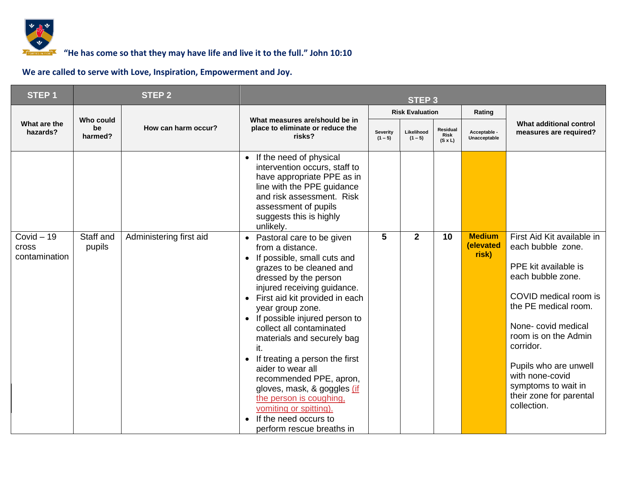

| STEP <sub>1</sub>                             |                            | <b>STEP 2</b>           | <b>STEP 3</b>                                                                                                                                                                                                                                                                                                                                                                                                                                                                                                                                                                                            |   |                         |                                           |                                     |                                                                                                                                                                                                                                                                                                                       |
|-----------------------------------------------|----------------------------|-------------------------|----------------------------------------------------------------------------------------------------------------------------------------------------------------------------------------------------------------------------------------------------------------------------------------------------------------------------------------------------------------------------------------------------------------------------------------------------------------------------------------------------------------------------------------------------------------------------------------------------------|---|-------------------------|-------------------------------------------|-------------------------------------|-----------------------------------------------------------------------------------------------------------------------------------------------------------------------------------------------------------------------------------------------------------------------------------------------------------------------|
|                                               |                            |                         |                                                                                                                                                                                                                                                                                                                                                                                                                                                                                                                                                                                                          |   | <b>Risk Evaluation</b>  |                                           | Rating                              |                                                                                                                                                                                                                                                                                                                       |
| What are the<br>hazards?                      | Who could<br>be<br>harmed? | How can harm occur?     | What measures are/should be in<br>place to eliminate or reduce the<br><b>Severity</b><br>risks?<br>$(1 - 5)$                                                                                                                                                                                                                                                                                                                                                                                                                                                                                             |   | Likelihood<br>$(1 - 5)$ | Residual<br><b>Risk</b><br>$(S \times L)$ | Acceptable -<br>Unacceptable        | What additional control<br>measures are required?                                                                                                                                                                                                                                                                     |
|                                               |                            |                         | If the need of physical<br>$\bullet$<br>intervention occurs, staff to<br>have appropriate PPE as in<br>line with the PPE guidance<br>and risk assessment. Risk<br>assessment of pupils<br>suggests this is highly<br>unlikely.                                                                                                                                                                                                                                                                                                                                                                           |   |                         |                                           |                                     |                                                                                                                                                                                                                                                                                                                       |
| $Covid - 19$<br><b>Cross</b><br>contamination | Staff and<br>pupils        | Administering first aid | Pastoral care to be given<br>$\bullet$<br>from a distance.<br>If possible, small cuts and<br>grazes to be cleaned and<br>dressed by the person<br>injured receiving guidance.<br>First aid kit provided in each<br>$\bullet$<br>year group zone.<br>If possible injured person to<br>collect all contaminated<br>materials and securely bag<br>it.<br>If treating a person the first<br>$\bullet$<br>aider to wear all<br>recommended PPE, apron,<br>gloves, mask, & goggles (if<br>the person is coughing,<br>vomiting or spitting).<br>If the need occurs to<br>$\bullet$<br>perform rescue breaths in | 5 | $\mathbf{2}$            | 10                                        | <b>Medium</b><br>(elevated<br>risk) | First Aid Kit available in<br>each bubble zone.<br>PPE kit available is<br>each bubble zone.<br>COVID medical room is<br>the PE medical room.<br>None-covid medical<br>room is on the Admin<br>corridor.<br>Pupils who are unwell<br>with none-covid<br>symptoms to wait in<br>their zone for parental<br>collection. |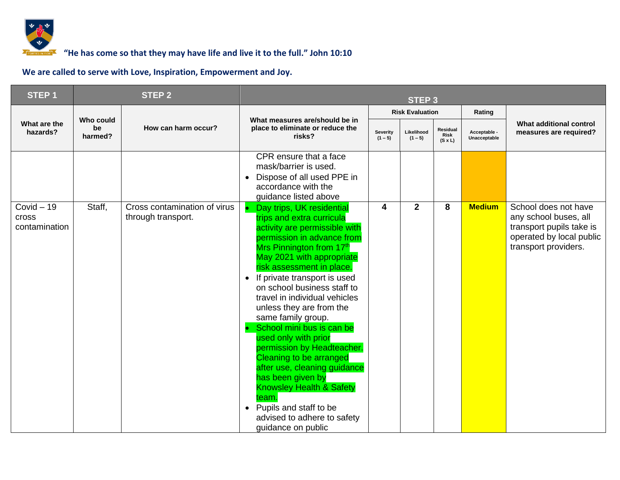

| STEP <sub>1</sub>                             |                            | <b>STEP 2</b>                                      | STEP <sub>3</sub>                                                                                                                                                                                                                                                                                                                                                                                                                                                                                                                                                                                                                                                                                     |                              |                         |                                    |                              |                                                                                                                               |
|-----------------------------------------------|----------------------------|----------------------------------------------------|-------------------------------------------------------------------------------------------------------------------------------------------------------------------------------------------------------------------------------------------------------------------------------------------------------------------------------------------------------------------------------------------------------------------------------------------------------------------------------------------------------------------------------------------------------------------------------------------------------------------------------------------------------------------------------------------------------|------------------------------|-------------------------|------------------------------------|------------------------------|-------------------------------------------------------------------------------------------------------------------------------|
|                                               |                            |                                                    |                                                                                                                                                                                                                                                                                                                                                                                                                                                                                                                                                                                                                                                                                                       |                              | <b>Risk Evaluation</b>  |                                    | Rating                       |                                                                                                                               |
| What are the<br>hazards?                      | Who could<br>be<br>harmed? | How can harm occur?                                | What measures are/should be in<br>place to eliminate or reduce the<br>risks?                                                                                                                                                                                                                                                                                                                                                                                                                                                                                                                                                                                                                          | <b>Severity</b><br>$(1 - 5)$ | Likelihood<br>$(1 - 5)$ | Residual<br>Risk<br>$(S \times L)$ | Acceptable -<br>Unacceptable | What additional control<br>measures are required?                                                                             |
|                                               |                            |                                                    | CPR ensure that a face<br>mask/barrier is used.<br>Dispose of all used PPE in<br>$\bullet$<br>accordance with the<br>guidance listed above                                                                                                                                                                                                                                                                                                                                                                                                                                                                                                                                                            |                              |                         |                                    |                              |                                                                                                                               |
| $Covid - 19$<br><b>Cross</b><br>contamination | Staff,                     | Cross contamination of virus<br>through transport. | Day trips, UK residential<br>trips and extra curricula<br>activity are permissible with<br>permission in advance from<br>Mrs Pinnington from 17 <sup>th</sup><br>May 2021 with appropriate<br>risk assessment in place.<br>If private transport is used<br>$\bullet$<br>on school business staff to<br>travel in individual vehicles<br>unless they are from the<br>same family group.<br>School mini bus is can be<br>used only with prior<br>permission by Headteacher.<br>Cleaning to be arranged<br>after use, cleaning guidance<br>has been given by<br><b>Knowsley Health &amp; Safety</b><br>team.<br>Pupils and staff to be<br>$\bullet$<br>advised to adhere to safety<br>guidance on public | 4                            | $\mathbf{2}$            | 8                                  | <b>Medium</b>                | School does not have<br>any school buses, all<br>transport pupils take is<br>operated by local public<br>transport providers. |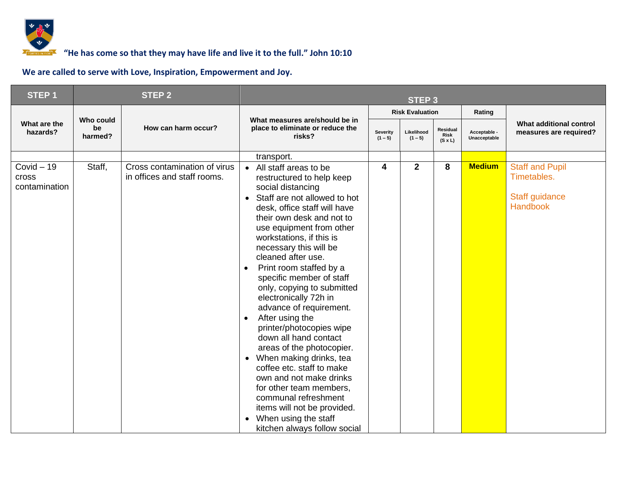

| STEP <sub>1</sub>                             |                            | <b>STEP 2</b>                                               | <b>STEP 3</b>                                                                                                                                                                                                                                                                                                                                                                                                                                                                                                                                                                                                                                                                                                                                                                                                                         |                       |                         |                                    |                              |                                                                            |
|-----------------------------------------------|----------------------------|-------------------------------------------------------------|---------------------------------------------------------------------------------------------------------------------------------------------------------------------------------------------------------------------------------------------------------------------------------------------------------------------------------------------------------------------------------------------------------------------------------------------------------------------------------------------------------------------------------------------------------------------------------------------------------------------------------------------------------------------------------------------------------------------------------------------------------------------------------------------------------------------------------------|-----------------------|-------------------------|------------------------------------|------------------------------|----------------------------------------------------------------------------|
|                                               |                            |                                                             |                                                                                                                                                                                                                                                                                                                                                                                                                                                                                                                                                                                                                                                                                                                                                                                                                                       |                       | <b>Risk Evaluation</b>  |                                    | Rating                       |                                                                            |
| What are the<br>hazards?                      | Who could<br>be<br>harmed? | How can harm occur?                                         | What measures are/should be in<br>place to eliminate or reduce the<br>risks?                                                                                                                                                                                                                                                                                                                                                                                                                                                                                                                                                                                                                                                                                                                                                          | Severity<br>$(1 - 5)$ | Likelihood<br>$(1 - 5)$ | Residual<br>Risk<br>$(S \times L)$ | Acceptable -<br>Unacceptable | What additional control<br>measures are required?                          |
|                                               |                            |                                                             | transport.                                                                                                                                                                                                                                                                                                                                                                                                                                                                                                                                                                                                                                                                                                                                                                                                                            |                       |                         |                                    |                              |                                                                            |
| $Covid - 19$<br><b>Cross</b><br>contamination | Staff,                     | Cross contamination of virus<br>in offices and staff rooms. | All staff areas to be<br>$\bullet$<br>restructured to help keep<br>social distancing<br>Staff are not allowed to hot<br>$\bullet$<br>desk, office staff will have<br>their own desk and not to<br>use equipment from other<br>workstations, if this is<br>necessary this will be<br>cleaned after use.<br>Print room staffed by a<br>$\bullet$<br>specific member of staff<br>only, copying to submitted<br>electronically 72h in<br>advance of requirement.<br>After using the<br>$\bullet$<br>printer/photocopies wipe<br>down all hand contact<br>areas of the photocopier.<br>When making drinks, tea<br>$\bullet$<br>coffee etc. staff to make<br>own and not make drinks<br>for other team members,<br>communal refreshment<br>items will not be provided.<br>When using the staff<br>$\bullet$<br>kitchen always follow social | 4                     | $\overline{2}$          | 8                                  | <b>Medium</b>                | <b>Staff and Pupil</b><br>Timetables.<br>Staff guidance<br><b>Handbook</b> |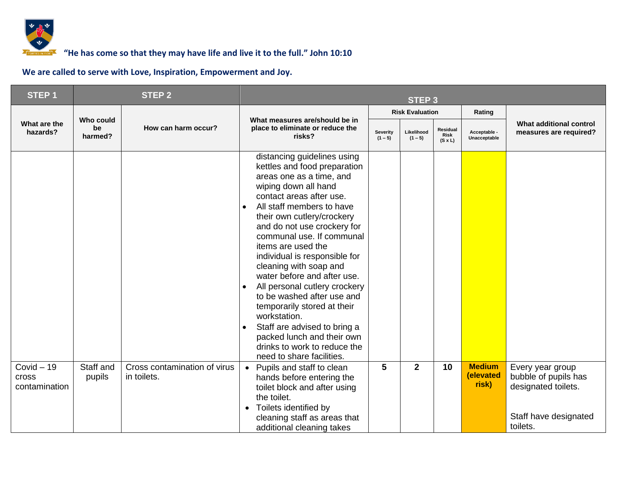

| <b>STEP1</b>                                  |                            | <b>STEP 2</b>                               | <b>STEP 3</b>                                                                                                                                                                                                                                                                                                                                                                                                                                                                                                                                                                                                               |                              |                         |                                           |                                     |                                                                                                      |
|-----------------------------------------------|----------------------------|---------------------------------------------|-----------------------------------------------------------------------------------------------------------------------------------------------------------------------------------------------------------------------------------------------------------------------------------------------------------------------------------------------------------------------------------------------------------------------------------------------------------------------------------------------------------------------------------------------------------------------------------------------------------------------------|------------------------------|-------------------------|-------------------------------------------|-------------------------------------|------------------------------------------------------------------------------------------------------|
|                                               |                            |                                             |                                                                                                                                                                                                                                                                                                                                                                                                                                                                                                                                                                                                                             |                              | <b>Risk Evaluation</b>  |                                           | Rating                              |                                                                                                      |
| What are the<br>hazards?                      | Who could<br>be<br>harmed? | How can harm occur?                         | What measures are/should be in<br>place to eliminate or reduce the<br>risks?                                                                                                                                                                                                                                                                                                                                                                                                                                                                                                                                                | <b>Severity</b><br>$(1 - 5)$ | Likelihood<br>$(1 - 5)$ | Residual<br><b>Risk</b><br>$(S \times L)$ | Acceptable -<br>Unacceptable        | What additional control<br>measures are required?                                                    |
|                                               |                            |                                             | distancing guidelines using<br>kettles and food preparation<br>areas one as a time, and<br>wiping down all hand<br>contact areas after use.<br>All staff members to have<br>their own cutlery/crockery<br>and do not use crockery for<br>communal use. If communal<br>items are used the<br>individual is responsible for<br>cleaning with soap and<br>water before and after use.<br>All personal cutlery crockery<br>to be washed after use and<br>temporarily stored at their<br>workstation.<br>Staff are advised to bring a<br>packed lunch and their own<br>drinks to work to reduce the<br>need to share facilities. |                              |                         |                                           |                                     |                                                                                                      |
| $Covid - 19$<br><b>Cross</b><br>contamination | Staff and<br>pupils        | Cross contamination of virus<br>in toilets. | Pupils and staff to clean<br>hands before entering the<br>toilet block and after using<br>the toilet.<br>Toilets identified by<br>$\bullet$<br>cleaning staff as areas that<br>additional cleaning takes                                                                                                                                                                                                                                                                                                                                                                                                                    | 5                            | $\overline{2}$          | 10                                        | <b>Medium</b><br>(elevated<br>risk) | Every year group<br>bubble of pupils has<br>designated toilets.<br>Staff have designated<br>toilets. |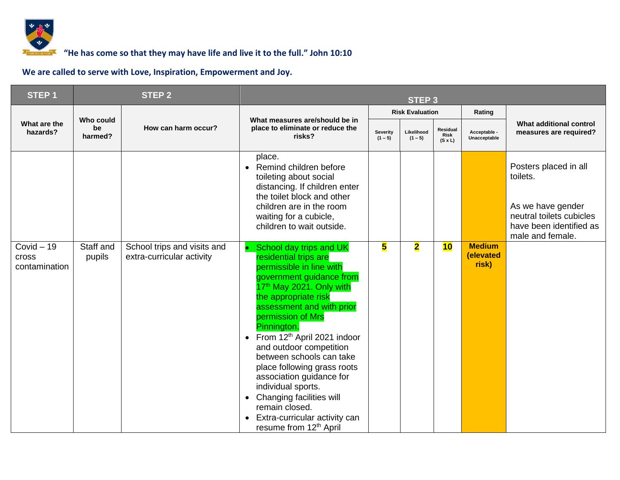

| STEP <sub>1</sub>                     |                            | <b>STEP 2</b>                                            | STEP <sub>3</sub>                                                                                                                                                                                                                                                                                                                                                                                                                                                                                                                                                           |   |                         |                                    |                                     |                                                                                                                                   |
|---------------------------------------|----------------------------|----------------------------------------------------------|-----------------------------------------------------------------------------------------------------------------------------------------------------------------------------------------------------------------------------------------------------------------------------------------------------------------------------------------------------------------------------------------------------------------------------------------------------------------------------------------------------------------------------------------------------------------------------|---|-------------------------|------------------------------------|-------------------------------------|-----------------------------------------------------------------------------------------------------------------------------------|
|                                       |                            |                                                          |                                                                                                                                                                                                                                                                                                                                                                                                                                                                                                                                                                             |   | <b>Risk Evaluation</b>  |                                    | Rating                              |                                                                                                                                   |
| What are the<br>hazards?              | Who could<br>be<br>harmed? | How can harm occur?                                      | What measures are/should be in<br>place to eliminate or reduce the<br>Severity<br>risks?<br>$(1 - 5)$                                                                                                                                                                                                                                                                                                                                                                                                                                                                       |   | Likelihood<br>$(1 - 5)$ | Residual<br>Risk<br>$(S \times L)$ | Acceptable -<br>Unacceptable        | What additional control<br>measures are required?                                                                                 |
|                                       |                            |                                                          | place.<br>Remind children before<br>$\bullet$<br>toileting about social<br>distancing. If children enter<br>the toilet block and other<br>children are in the room<br>waiting for a cubicle,<br>children to wait outside.                                                                                                                                                                                                                                                                                                                                                   |   |                         |                                    |                                     | Posters placed in all<br>toilets.<br>As we have gender<br>neutral toilets cubicles<br>have been identified as<br>male and female. |
| Covid $-19$<br>cross<br>contamination | Staff and<br>pupils        | School trips and visits and<br>extra-curricular activity | School day trips and UK<br>residential trips are<br>permissible in line with<br>government guidance from<br>17 <sup>th</sup> May 2021. Only with<br>the appropriate risk<br>assessment and with prior<br>permission of Mrs<br>Pinnington.<br>From 12 <sup>th</sup> April 2021 indoor<br>$\bullet$<br>and outdoor competition<br>between schools can take<br>place following grass roots<br>association guidance for<br>individual sports.<br>Changing facilities will<br>$\bullet$<br>remain closed.<br>Extra-curricular activity can<br>resume from 12 <sup>th</sup> April | 5 | $\overline{\mathbf{2}}$ | 10                                 | <b>Medium</b><br>(elevated<br>risk) |                                                                                                                                   |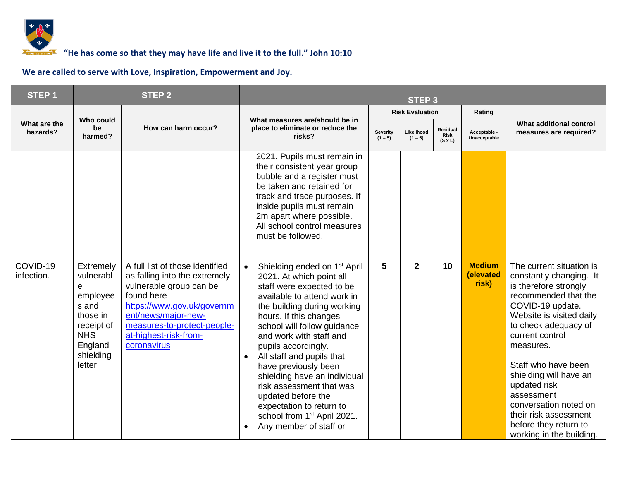

### *<b>F* **6000 TOM** <sup>7</sup> **10000 TOM 10:10 10:10 10:10 10:10 10:10 10:10 10:10 10:10 10:10 10:10 10:10 10:10 10:10 10:10 10:10 10:10 10:10 10:10 10:10 10:10 10:10 10:10 10:10 10:**

| <b>STEP1</b>             |                                                                                                                            | <b>STEP 2</b>                                                                                                                                                                                                                         |                                                                                                                                                                                                                                                                                                                                                                                                                                                                                                                                                           |   | <b>STEP 3</b>           |                                           |                                     |                                                                                                                                                                                                                                                                                                                                                                                                    |
|--------------------------|----------------------------------------------------------------------------------------------------------------------------|---------------------------------------------------------------------------------------------------------------------------------------------------------------------------------------------------------------------------------------|-----------------------------------------------------------------------------------------------------------------------------------------------------------------------------------------------------------------------------------------------------------------------------------------------------------------------------------------------------------------------------------------------------------------------------------------------------------------------------------------------------------------------------------------------------------|---|-------------------------|-------------------------------------------|-------------------------------------|----------------------------------------------------------------------------------------------------------------------------------------------------------------------------------------------------------------------------------------------------------------------------------------------------------------------------------------------------------------------------------------------------|
|                          |                                                                                                                            |                                                                                                                                                                                                                                       |                                                                                                                                                                                                                                                                                                                                                                                                                                                                                                                                                           |   | <b>Risk Evaluation</b>  |                                           | Rating                              |                                                                                                                                                                                                                                                                                                                                                                                                    |
| What are the<br>hazards? | Who could<br>be<br>harmed?                                                                                                 | How can harm occur?                                                                                                                                                                                                                   | What measures are/should be in<br>place to eliminate or reduce the<br>Severity<br>risks?<br>$(1 - 5)$                                                                                                                                                                                                                                                                                                                                                                                                                                                     |   | Likelihood<br>$(1 - 5)$ | Residual<br><b>Risk</b><br>$(S \times L)$ | Acceptable -<br>Unacceptable        | What additional control<br>measures are required?                                                                                                                                                                                                                                                                                                                                                  |
|                          |                                                                                                                            |                                                                                                                                                                                                                                       | 2021. Pupils must remain in<br>their consistent year group<br>bubble and a register must<br>be taken and retained for<br>track and trace purposes. If<br>inside pupils must remain<br>2m apart where possible.<br>All school control measures<br>must be followed.                                                                                                                                                                                                                                                                                        |   |                         |                                           |                                     |                                                                                                                                                                                                                                                                                                                                                                                                    |
| COVID-19<br>infection.   | Extremely<br>vulnerabl<br>e<br>employee<br>s and<br>those in<br>receipt of<br><b>NHS</b><br>England<br>shielding<br>letter | A full list of those identified<br>as falling into the extremely<br>vulnerable group can be<br>found here<br>https://www.gov.uk/governm<br>ent/news/major-new-<br>measures-to-protect-people-<br>at-highest-risk-from-<br>coronavirus | Shielding ended on 1 <sup>st</sup> April<br>$\bullet$<br>2021. At which point all<br>staff were expected to be<br>available to attend work in<br>the building during working<br>hours. If this changes<br>school will follow guidance<br>and work with staff and<br>pupils accordingly.<br>All staff and pupils that<br>$\bullet$<br>have previously been<br>shielding have an individual<br>risk assessment that was<br>updated before the<br>expectation to return to<br>school from 1 <sup>st</sup> April 2021.<br>Any member of staff or<br>$\bullet$ | 5 | $\mathbf{2}$            | 10                                        | <b>Medium</b><br>(elevated<br>risk) | The current situation is<br>constantly changing. It<br>is therefore strongly<br>recommended that the<br>COVID-19 update.<br>Website is visited daily<br>to check adequacy of<br>current control<br>measures.<br>Staff who have been<br>shielding will have an<br>updated risk<br>assessment<br>conversation noted on<br>their risk assessment<br>before they return to<br>working in the building. |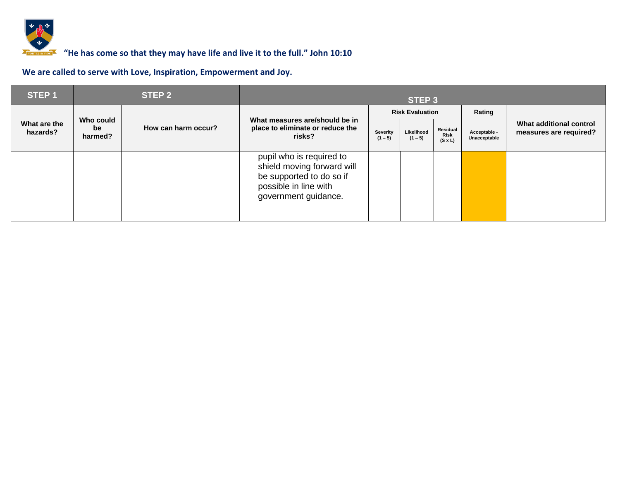

| STEP <sub>1</sub>        |                            | STEP <sub>2</sub>   |                                                                                                                                     | STEP 3                 |                         |                                    |                              |                                                   |  |  |
|--------------------------|----------------------------|---------------------|-------------------------------------------------------------------------------------------------------------------------------------|------------------------|-------------------------|------------------------------------|------------------------------|---------------------------------------------------|--|--|
|                          |                            |                     |                                                                                                                                     | <b>Risk Evaluation</b> |                         |                                    | Rating                       |                                                   |  |  |
| What are the<br>hazards? | Who could<br>be<br>harmed? | How can harm occur? | What measures are/should be in<br>place to eliminate or reduce the<br>risks?                                                        | Severity<br>$(1 - 5)$  | Likelihood<br>$(1 - 5)$ | Residual<br>Risk<br>$(S \times L)$ | Acceptable -<br>Unacceptable | What additional control<br>measures are required? |  |  |
|                          |                            |                     | pupil who is required to<br>shield moving forward will<br>be supported to do so if<br>possible in line with<br>government guidance. |                        |                         |                                    |                              |                                                   |  |  |